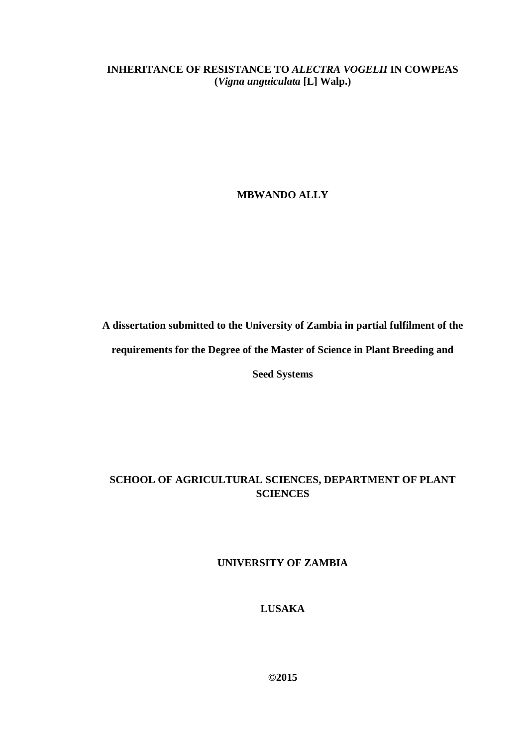**INHERITANCE OF RESISTANCE TO** *ALECTRA VOGELII* **IN COWPEAS (***Vigna unguiculata* **[L] Walp.)**

**MBWANDO ALLY**

**A dissertation submitted to the University of Zambia in partial fulfilment of the** 

**requirements for the Degree of the Master of Science in Plant Breeding and** 

**Seed Systems**

## **SCHOOL OF AGRICULTURAL SCIENCES, DEPARTMENT OF PLANT SCIENCES**

**UNIVERSITY OF ZAMBIA**

**LUSAKA**

**©2015**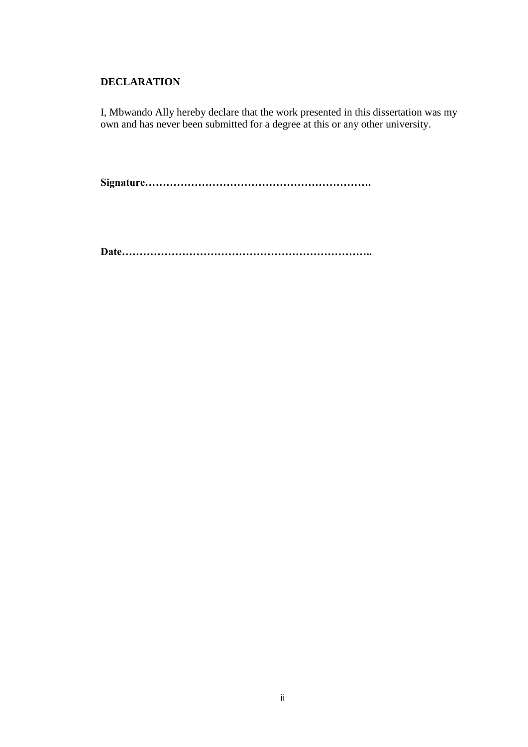## <span id="page-1-0"></span>**DECLARATION**

I, Mbwando Ally hereby declare that the work presented in this dissertation was my own and has never been submitted for a degree at this or any other university.

**Signature……………………………………………………….**

**Date……………………………………………………………..**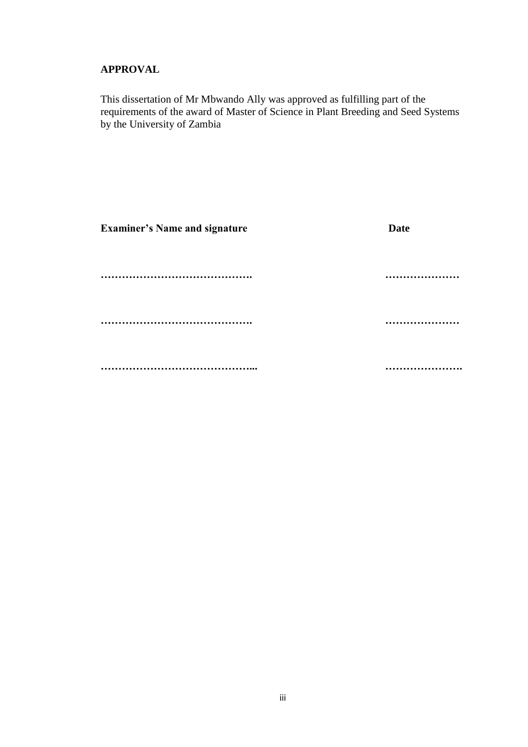## <span id="page-2-0"></span>**APPROVAL**

This dissertation of Mr Mbwando Ally was approved as fulfilling part of the requirements of the award of Master of Science in Plant Breeding and Seed Systems by the University of Zambia

| <b>Examiner's Name and signature</b> | <b>Date</b> |
|--------------------------------------|-------------|
|                                      | .           |
|                                      |             |
|                                      |             |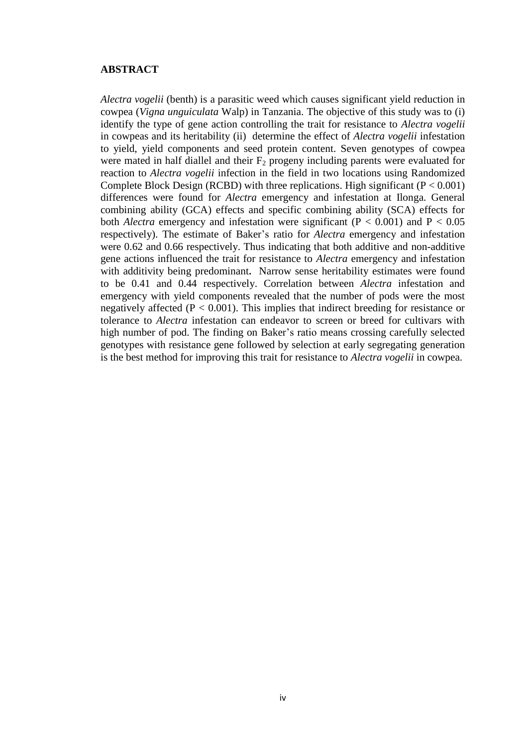#### <span id="page-3-0"></span>**ABSTRACT**

*Alectra vogelii* (benth) is a parasitic weed which causes significant yield reduction in cowpea (*Vigna unguiculata* Walp) in Tanzania. The objective of this study was to (i) identify the type of gene action controlling the trait for resistance to *Alectra vogelii* in cowpeas and its heritability (ii) determine the effect of *Alectra vogelii* infestation to yield, yield components and seed protein content. Seven genotypes of cowpea were mated in half diallel and their  $F_2$  progeny including parents were evaluated for reaction to *Alectra vogelii* infection in the field in two locations using Randomized Complete Block Design (RCBD) with three replications. High significant ( $P < 0.001$ ) differences were found for *Alectra* emergency and infestation at Ilonga. General combining ability (GCA) effects and specific combining ability (SCA) effects for both *Alectra* emergency and infestation were significant  $(P < 0.001)$  and  $P < 0.05$ respectively). The estimate of Baker's ratio for *Alectra* emergency and infestation were 0.62 and 0.66 respectively. Thus indicating that both additive and non-additive gene actions influenced the trait for resistance to *Alectra* emergency and infestation with additivity being predominant**.** Narrow sense heritability estimates were found to be 0.41 and 0.44 respectively. Correlation between *Alectra* infestation and emergency with yield components revealed that the number of pods were the most negatively affected ( $P < 0.001$ ). This implies that indirect breeding for resistance or tolerance to *Alectra* infestation can endeavor to screen or breed for cultivars with high number of pod. The finding on Baker's ratio means crossing carefully selected genotypes with resistance gene followed by selection at early segregating generation is the best method for improving this trait for resistance to *Alectra vogelii* in cowpea.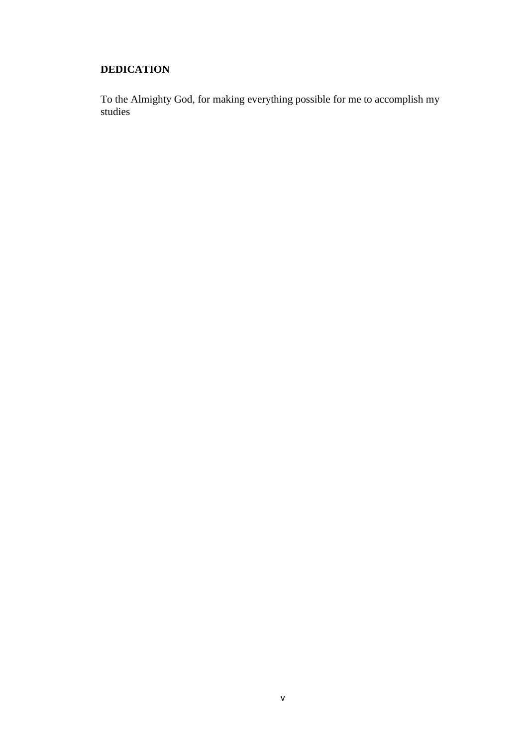## <span id="page-4-0"></span>**DEDICATION**

To the Almighty God, for making everything possible for me to accomplish my studies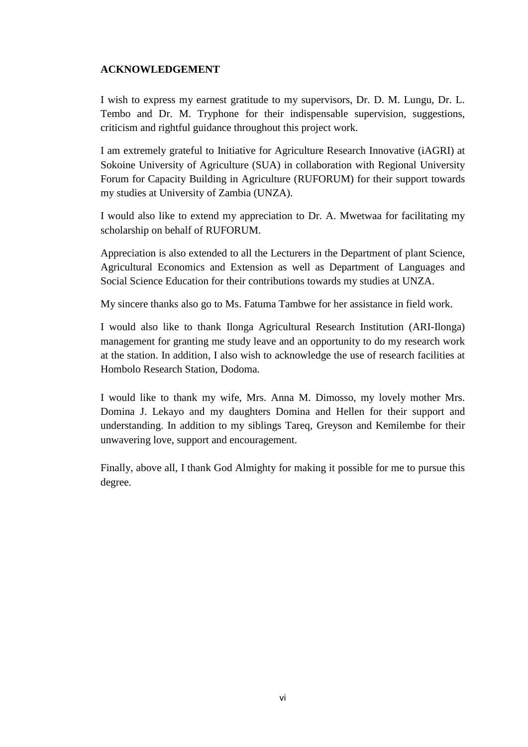## <span id="page-5-0"></span>**ACKNOWLEDGEMENT**

I wish to express my earnest gratitude to my supervisors, Dr. D. M. Lungu, Dr. L. Tembo and Dr. M. Tryphone for their indispensable supervision, suggestions, criticism and rightful guidance throughout this project work.

I am extremely grateful to Initiative for Agriculture Research Innovative (iAGRI) at Sokoine University of Agriculture (SUA) in collaboration with Regional University Forum for Capacity Building in Agriculture (RUFORUM) for their support towards my studies at University of Zambia (UNZA).

I would also like to extend my appreciation to Dr. A. Mwetwaa for facilitating my scholarship on behalf of RUFORUM.

Appreciation is also extended to all the Lecturers in the Department of plant Science, Agricultural Economics and Extension as well as Department of Languages and Social Science Education for their contributions towards my studies at UNZA.

My sincere thanks also go to Ms. Fatuma Tambwe for her assistance in field work.

I would also like to thank Ilonga Agricultural Research Institution (ARI-Ilonga) management for granting me study leave and an opportunity to do my research work at the station. In addition, I also wish to acknowledge the use of research facilities at Hombolo Research Station, Dodoma.

I would like to thank my wife, Mrs. Anna M. Dimosso, my lovely mother Mrs. Domina J. Lekayo and my daughters Domina and Hellen for their support and understanding. In addition to my siblings Tareq, Greyson and Kemilembe for their unwavering love, support and encouragement.

Finally, above all, I thank God Almighty for making it possible for me to pursue this degree.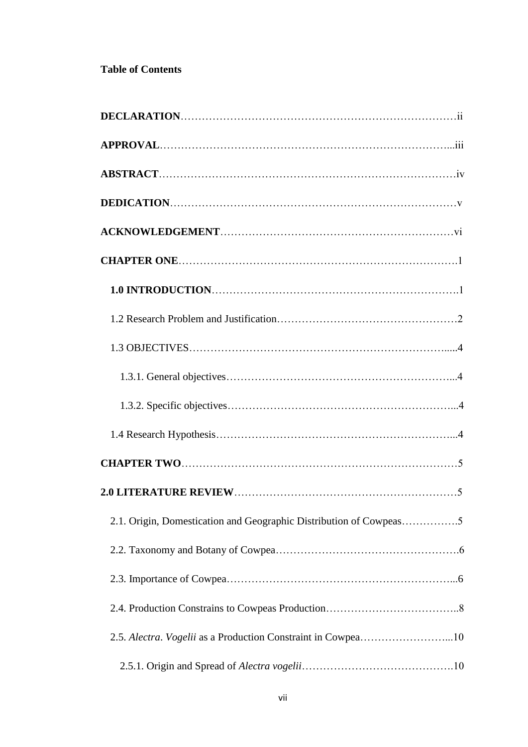## **Table of Contents**

| 2.1. Origin, Domestication and Geographic Distribution of Cowpeas5 |  |
|--------------------------------------------------------------------|--|
|                                                                    |  |
|                                                                    |  |
|                                                                    |  |
| 2.5. Alectra. Vogelii as a Production Constraint in Cowpea10       |  |
|                                                                    |  |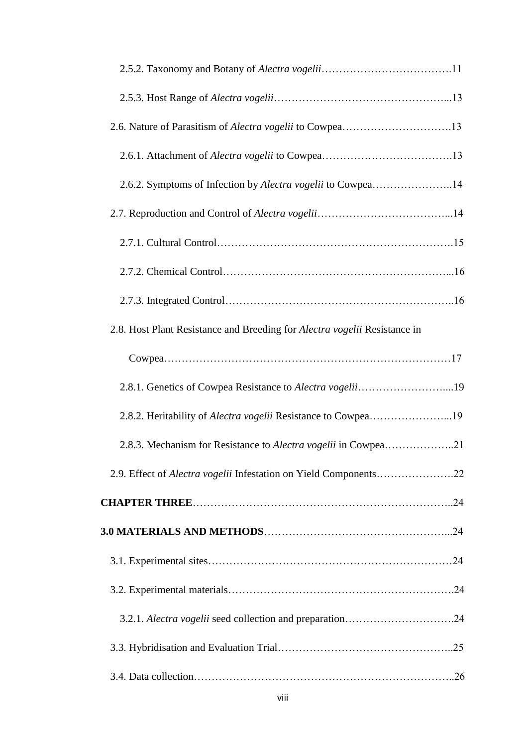| 2.6.2. Symptoms of Infection by Alectra vogelii to Cowpea14               |  |
|---------------------------------------------------------------------------|--|
|                                                                           |  |
|                                                                           |  |
|                                                                           |  |
|                                                                           |  |
| 2.8. Host Plant Resistance and Breeding for Alectra vogelii Resistance in |  |
|                                                                           |  |
| 2.8.1. Genetics of Cowpea Resistance to Alectra vogelii19                 |  |
| 2.8.2. Heritability of Alectra vogelii Resistance to Cowpea19             |  |
|                                                                           |  |
| 2.9. Effect of Alectra vogelii Infestation on Yield Components22          |  |
|                                                                           |  |
|                                                                           |  |
|                                                                           |  |
|                                                                           |  |
|                                                                           |  |
|                                                                           |  |
|                                                                           |  |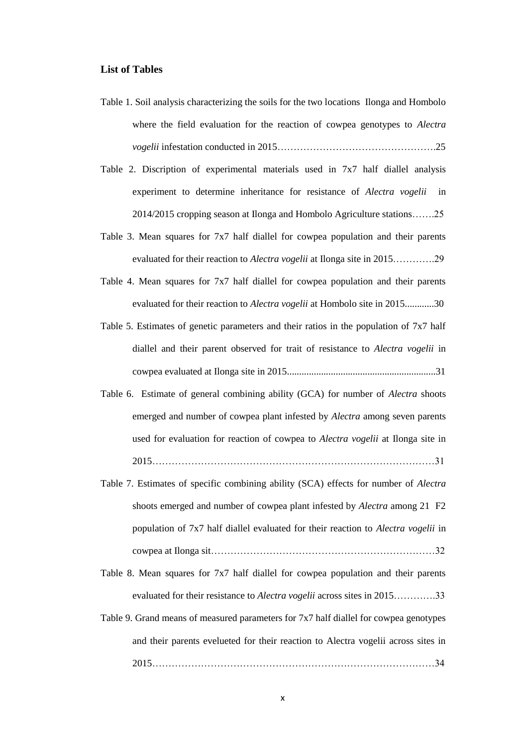#### **List of Tables**

- Table 1. Soil analysis characterizing the soils for the two locations Ilonga and Hombolo where the field evaluation for the reaction of cowpea genotypes to *Alectra vogelii* infestation conducted in 2015………………………………………….25
- Table 2. Discription of experimental materials used in 7x7 half diallel analysis experiment to determine inheritance for resistance of *Alectra vogelii* in 2014/2015 cropping season at Ilonga and Hombolo Agriculture stations…….25
- Table 3. Mean squares for 7x7 half diallel for cowpea population and their parents evaluated for their reaction to *Alectra vogelii* at Ilonga site in 2015………….29
- Table 4. [Mean squares for 7x7 half diallel for cowpea population and their parents](#page-41-3)  [evaluated for their reaction to](#page-41-3) *Alectra vogelii* at Hombolo site in 2015............30
- Table 5. [Estimates of genetic parameters and their ratios in the population of 7x7 half](#page-43-0)  [diallel and their parent observed for trait of resistance to](#page-43-0) *Alectra vogelii* in [cowpea evaluated at Ilonga site in 2015....](#page-43-0).........................................................31
- [Table 6. Estimate of general combining ability \(GCA\) for number of](#page-43-1) *Alectra* shoots [emerged and number of cowpea plant infested by](#page-43-1) *Alectra* among seven parents [used for evaluation for reaction of cowpea to](#page-43-1) *Alectra vogelii* at Ilonga site in [2015……………………………………………………………………………31](#page-43-1)
- Table 7. [Estimates of specific combining ability \(SCA\) effects for number of](#page-44-0) *Alectra* [shoots emerged and number of cowpea plant infested by](#page-44-0) *Alectra* among 21 F2 [population of 7x7 half diallel evaluated for their reaction to](#page-44-0) *Alectra vogelii* in [cowpea at Ilonga sit……………………………………………………………32](#page-44-0)
- Table 8. [Mean squares for 7x7 half diallel for cowpea population and their parents](#page-45-0)  evaluated for their resistance to *Alectra vogelii* [across sites in 2015………….33](#page-45-0)
- Table 9. Grand means of measured parameters for 7x7 half diallel for cowpea genotypes and their parents evelueted for their reaction to Alectra vogelii across sites in 2015……………………………………………………………………………34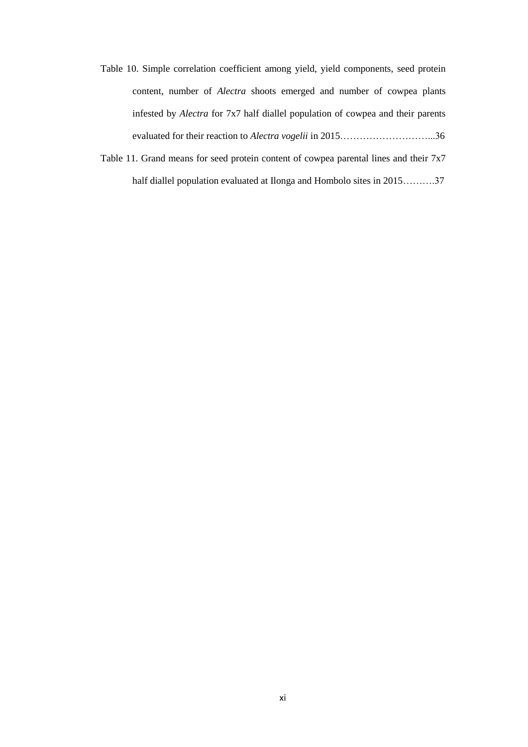- Table 10. [Simple correlation coefficient among yield, yield components, seed protein](#page-48-0)  content, number of *Alectra* [shoots emerged and number of cowpea plants](#page-48-0)  infested by *Alectra* [for 7x7 half diallel population of cowpea and their parents](#page-48-0)  evaluated for their reaction to *Alectra vogelii* [in 2015………………………...36](#page-48-0)
- Table 11. [Grand means for seed protein content of cowpea parental lines and their 7x7](#page-49-0)  [half diallel population evaluated at Ilonga and Hombolo sites in 2015……….37](#page-49-0)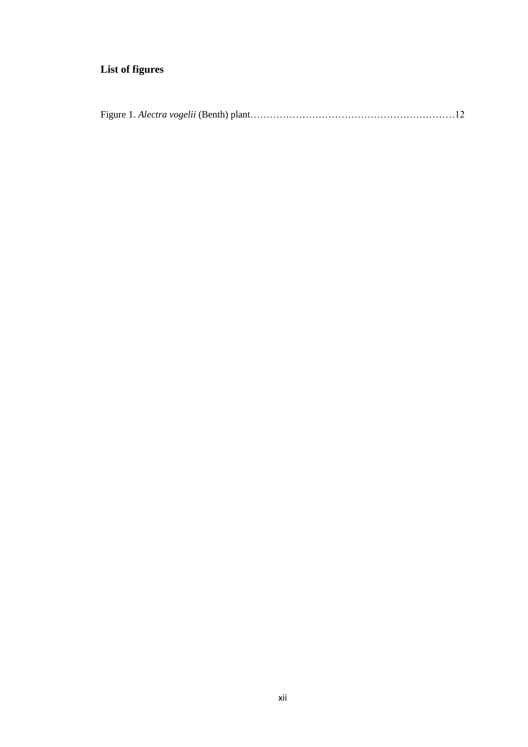# **List of figures**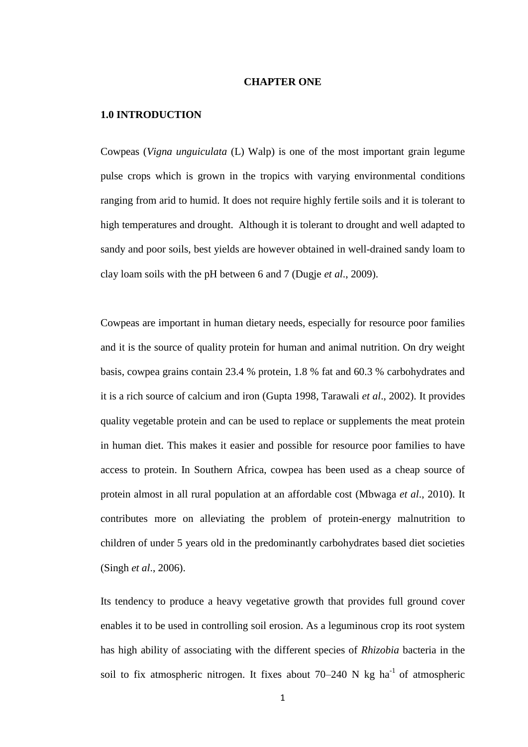#### **CHAPTER ONE**

#### <span id="page-12-1"></span><span id="page-12-0"></span>**1.0 INTRODUCTION**

Cowpeas (*Vigna unguiculata* (L) Walp) is one of the most important grain legume pulse crops which is grown in the tropics with varying environmental conditions ranging from arid to humid. It does not require highly fertile soils and it is tolerant to high temperatures and drought. Although it is tolerant to drought and well adapted to sandy and poor soils, best yields are however obtained in well-drained sandy loam to clay loam soils with the pH between 6 and 7 (Dugje *et al*., 2009).

Cowpeas are important in human dietary needs, especially for resource poor families and it is the source of quality protein for human and animal nutrition. On dry weight basis, cowpea grains contain 23.4 % protein, 1.8 % fat and 60.3 % carbohydrates and it is a rich source of calcium and iron (Gupta 1998, Tarawali *et al*., 2002). It provides quality vegetable protein and can be used to replace or supplements the meat protein in human diet. This makes it easier and possible for resource poor families to have access to protein. In Southern Africa, cowpea has been used as a cheap source of protein almost in all rural population at an affordable cost (Mbwaga *et al*., 2010). It contributes more on alleviating the problem of protein-energy malnutrition to children of under 5 years old in the predominantly carbohydrates based diet societies (Singh *et al*., 2006).

Its tendency to produce a heavy vegetative growth that provides full ground cover enables it to be used in controlling soil erosion. As a leguminous crop its root system has high ability of associating with the different species of *Rhizobia* bacteria in the soil to fix atmospheric nitrogen. It fixes about  $70-240$  N kg ha<sup>-1</sup> of atmospheric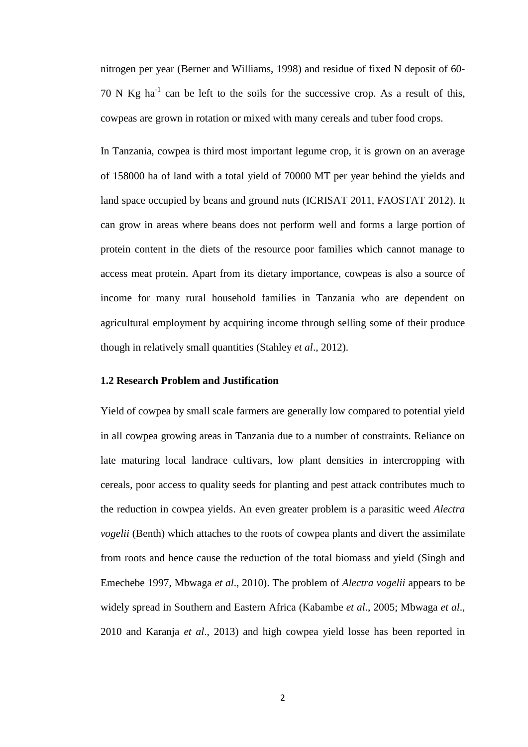nitrogen per year (Berner and Williams, 1998) and residue of fixed N deposit of 60- 70 N Kg ha<sup>-1</sup> can be left to the soils for the successive crop. As a result of this, cowpeas are grown in rotation or mixed with many cereals and tuber food crops.

In Tanzania, cowpea is third most important legume crop, it is grown on an average of 158000 ha of land with a total yield of 70000 MT per year behind the yields and land space occupied by beans and ground nuts (ICRISAT 2011, FAOSTAT 2012). It can grow in areas where beans does not perform well and forms a large portion of protein content in the diets of the resource poor families which cannot manage to access meat protein. Apart from its dietary importance, cowpeas is also a source of income for many rural household families in Tanzania who are dependent on agricultural employment by acquiring income through selling some of their produce though in relatively small quantities (Stahley *et al*., 2012).

#### <span id="page-13-0"></span>**1.2 Research Problem and Justification**

Yield of cowpea by small scale farmers are generally low compared to potential yield in all cowpea growing areas in Tanzania due to a number of constraints. Reliance on late maturing local landrace cultivars, low plant densities in intercropping with cereals, poor access to quality seeds for planting and pest attack contributes much to the reduction in cowpea yields. An even greater problem is a parasitic weed *Alectra vogelii* (Benth) which attaches to the roots of cowpea plants and divert the assimilate from roots and hence cause the reduction of the total biomass and yield (Singh and Emechebe 1997, Mbwaga *et al*., 2010). The problem of *Alectra vogelii* appears to be widely spread in Southern and Eastern Africa (Kabambe *et al*., 2005; Mbwaga *et al*., 2010 and Karanja *et al*., 2013) and high cowpea yield losse has been reported in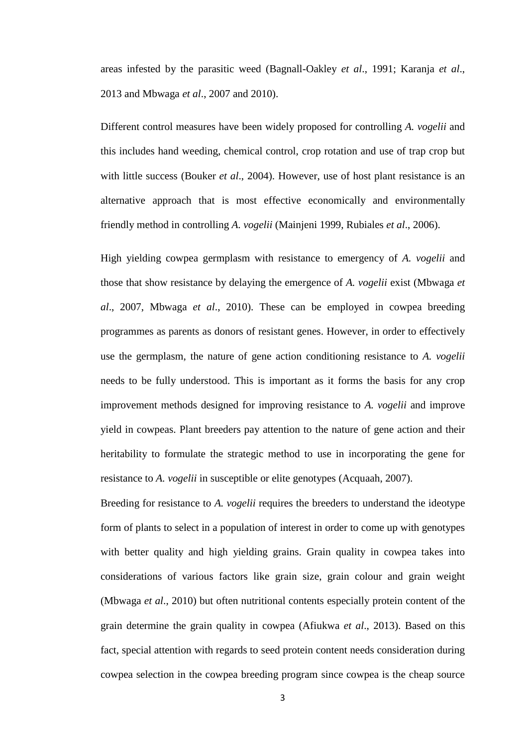areas infested by the parasitic weed (Bagnall-Oakley *et al*., 1991; Karanja *et al*., 2013 and Mbwaga *et al*., 2007 and 2010).

Different control measures have been widely proposed for controlling *A. vogelii* and this includes hand weeding, chemical control, crop rotation and use of trap crop but with little success (Bouker *et al*., 2004). However, use of host plant resistance is an alternative approach that is most effective economically and environmentally friendly method in controlling *A. vogelii* (Mainjeni 1999, Rubiales *et al*., 2006).

High yielding cowpea germplasm with resistance to emergency of *A. vogelii* and those that show resistance by delaying the emergence of *A. vogelii* exist (Mbwaga *et al*., 2007, Mbwaga *et al*., 2010). These can be employed in cowpea breeding programmes as parents as donors of resistant genes. However, in order to effectively use the germplasm, the nature of gene action conditioning resistance to *A. vogelii* needs to be fully understood. This is important as it forms the basis for any crop improvement methods designed for improving resistance to *A. vogelii* and improve yield in cowpeas. Plant breeders pay attention to the nature of gene action and their heritability to formulate the strategic method to use in incorporating the gene for resistance to *A. vogelii* in susceptible or elite genotypes (Acquaah, 2007).

Breeding for resistance to *A. vogelii* requires the breeders to understand the ideotype form of plants to select in a population of interest in order to come up with genotypes with better quality and high yielding grains. Grain quality in cowpea takes into considerations of various factors like grain size, grain colour and grain weight (Mbwaga *et al*., 2010) but often nutritional contents especially protein content of the grain determine the grain quality in cowpea (Afiukwa *et al*., 2013). Based on this fact, special attention with regards to seed protein content needs consideration during cowpea selection in the cowpea breeding program since cowpea is the cheap source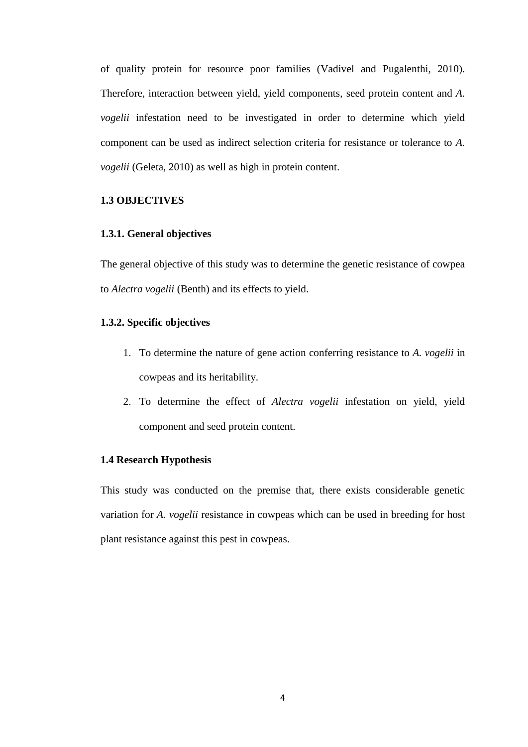of quality protein for resource poor families (Vadivel and Pugalenthi, 2010). Therefore, interaction between yield, yield components, seed protein content and *A. vogelii* infestation need to be investigated in order to determine which yield component can be used as indirect selection criteria for resistance or tolerance to *A. vogelii* (Geleta, 2010) as well as high in protein content.

### <span id="page-15-0"></span>**1.3 OBJECTIVES**

#### <span id="page-15-1"></span>**1.3.1. General objectives**

The general objective of this study was to determine the genetic resistance of cowpea to *Alectra vogelii* (Benth) and its effects to yield.

#### <span id="page-15-2"></span>**1.3.2. Specific objectives**

- 1. To determine the nature of gene action conferring resistance to *A. vogelii* in cowpeas and its heritability.
- 2. To determine the effect of *Alectra vogelii* infestation on yield, yield component and seed protein content.

#### <span id="page-15-3"></span>**1.4 Research Hypothesis**

This study was conducted on the premise that, there exists considerable genetic variation for *A. vogelii* resistance in cowpeas which can be used in breeding for host plant resistance against this pest in cowpeas.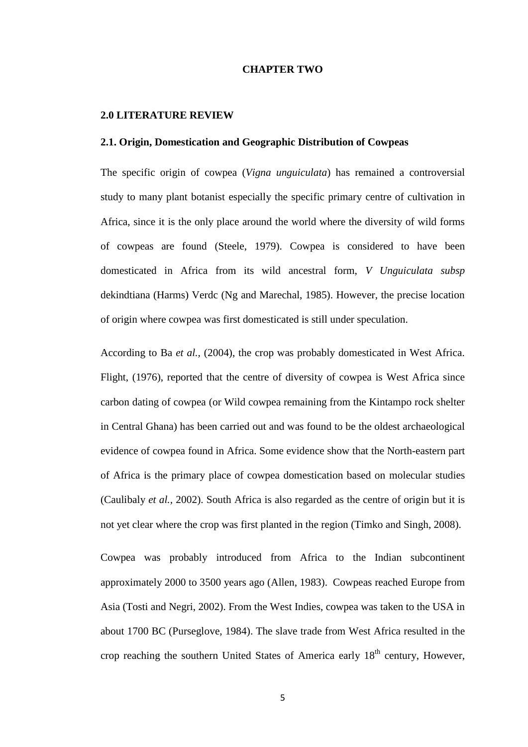#### **CHAPTER TWO**

#### <span id="page-16-1"></span><span id="page-16-0"></span>**2.0 LITERATURE REVIEW**

#### <span id="page-16-2"></span>**2.1. Origin, Domestication and Geographic Distribution of Cowpeas**

The specific origin of cowpea (*Vigna unguiculata*) has remained a controversial study to many plant botanist especially the specific primary centre of cultivation in Africa, since it is the only place around the world where the diversity of wild forms of cowpeas are found (Steele, 1979). Cowpea is considered to have been domesticated in Africa from its wild ancestral form, *V Unguiculata subsp* dekindtiana (Harms) Verdc (Ng and Marechal, 1985). However, the precise location of origin where cowpea was first domesticated is still under speculation.

According to Ba *et al.,* (2004), the crop was probably domesticated in West Africa. Flight, (1976), reported that the centre of diversity of cowpea is West Africa since carbon dating of cowpea (or Wild cowpea remaining from the Kintampo rock shelter in Central Ghana) has been carried out and was found to be the oldest archaeological evidence of cowpea found in Africa. Some evidence show that the North-eastern part of Africa is the primary place of cowpea domestication based on molecular studies (Caulibaly *et al.,* 2002). South Africa is also regarded as the centre of origin but it is not yet clear where the crop was first planted in the region (Timko and Singh, 2008).

Cowpea was probably introduced from Africa to the Indian subcontinent approximately 2000 to 3500 years ago (Allen, 1983). Cowpeas reached Europe from Asia (Tosti and Negri, 2002). From the West Indies, cowpea was taken to the USA in about 1700 BC (Purseglove, 1984). The slave trade from West Africa resulted in the crop reaching the southern United States of America early  $18<sup>th</sup>$  century, However,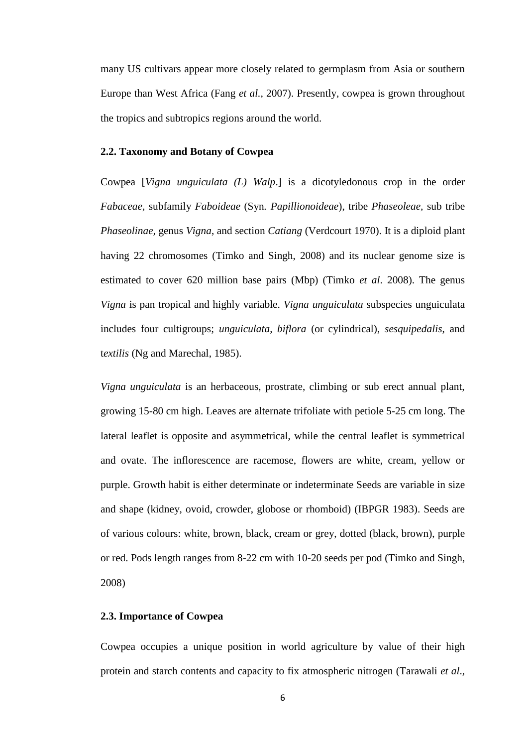many US cultivars appear more closely related to germplasm from Asia or southern Europe than West Africa (Fang *et al.*, 2007). Presently, cowpea is grown throughout the tropics and subtropics regions around the world.

#### <span id="page-17-0"></span>**2.2. Taxonomy and Botany of Cowpea**

Cowpea [*Vigna unguiculata (L) Walp*.] is a dicotyledonous crop in the order *Fabaceae,* subfamily *Faboideae* (Syn*. Papillionoideae*), tribe *Phaseoleae,* sub tribe *Phaseolinae,* genus *Vigna*, and section *Catiang* (Verdcourt 1970). It is a diploid plant having 22 chromosomes (Timko and Singh, 2008) and its nuclear genome size is estimated to cover 620 million base pairs (Mbp) (Timko *et al*. 2008). The genus *Vigna* is pan tropical and highly variable. *Vigna unguiculata* subspecies unguiculata includes four cultigroups; *unguiculata*, *biflora* (or cylindrical), *sesquipedalis*, and t*extilis* (Ng and Marechal, 1985).

*Vigna unguiculata* is an herbaceous, prostrate, climbing or sub erect annual plant, growing 15-80 cm high. Leaves are alternate trifoliate with petiole 5-25 cm long. The lateral leaflet is opposite and asymmetrical, while the central leaflet is symmetrical and ovate. The inflorescence are racemose, flowers are white, cream, yellow or purple. Growth habit is either determinate or indeterminate Seeds are variable in size and shape (kidney, ovoid, crowder, globose or rhomboid) (IBPGR 1983). Seeds are of various colours: white, brown, black, cream or grey, dotted (black, brown), purple or red. Pods length ranges from 8-22 cm with 10-20 seeds per pod (Timko and Singh, 2008)

#### <span id="page-17-1"></span>**2.3. Importance of Cowpea**

Cowpea occupies a unique position in world agriculture by value of their high protein and starch contents and capacity to fix atmospheric nitrogen (Tarawali *et al*.,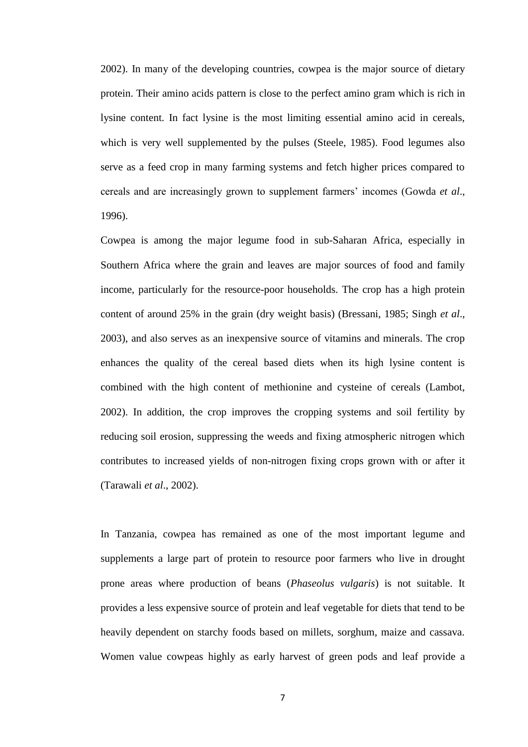2002). In many of the developing countries, cowpea is the major source of dietary protein. Their amino acids pattern is close to the perfect amino gram which is rich in lysine content. In fact lysine is the most limiting essential amino acid in cereals, which is very well supplemented by the pulses (Steele, 1985). Food legumes also serve as a feed crop in many farming systems and fetch higher prices compared to cereals and are increasingly grown to supplement farmers' incomes (Gowda *et al*., 1996).

Cowpea is among the major legume food in sub-Saharan Africa, especially in Southern Africa where the grain and leaves are major sources of food and family income, particularly for the resource-poor households. The crop has a high protein content of around 25% in the grain (dry weight basis) (Bressani, 1985; Singh *et al*., 2003), and also serves as an inexpensive source of vitamins and minerals. The crop enhances the quality of the cereal based diets when its high lysine content is combined with the high content of methionine and cysteine of cereals (Lambot, 2002). In addition, the crop improves the cropping systems and soil fertility by reducing soil erosion, suppressing the weeds and fixing atmospheric nitrogen which contributes to increased yields of non-nitrogen fixing crops grown with or after it (Tarawali *et al*., 2002).

In Tanzania, cowpea has remained as one of the most important legume and supplements a large part of protein to resource poor farmers who live in drought prone areas where production of beans (*Phaseolus vulgaris*) is not suitable. It provides a less expensive source of protein and leaf vegetable for diets that tend to be heavily dependent on starchy foods based on millets, sorghum, maize and cassava. Women value cowpeas highly as early harvest of green pods and leaf provide a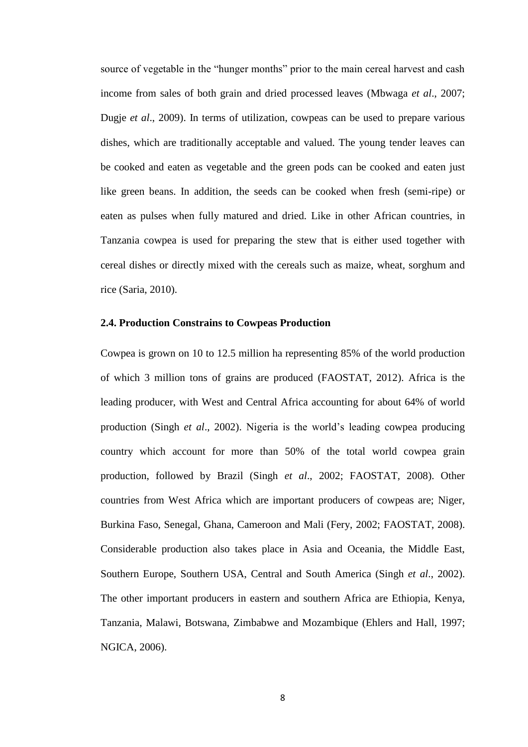source of vegetable in the "hunger months" prior to the main cereal harvest and cash income from sales of both grain and dried processed leaves (Mbwaga *et al*., 2007; Dugje *et al*., 2009). In terms of utilization, cowpeas can be used to prepare various dishes, which are traditionally acceptable and valued. The young tender leaves can be cooked and eaten as vegetable and the green pods can be cooked and eaten just like green beans. In addition, the seeds can be cooked when fresh (semi-ripe) or eaten as pulses when fully matured and dried. Like in other African countries, in Tanzania cowpea is used for preparing the stew that is either used together with cereal dishes or directly mixed with the cereals such as maize, wheat, sorghum and rice (Saria, 2010).

#### <span id="page-19-0"></span>**2.4. Production Constrains to Cowpeas Production**

Cowpea is grown on 10 to 12.5 million ha representing 85% of the world production of which 3 million tons of grains are produced (FAOSTAT, 2012). Africa is the leading producer, with West and Central Africa accounting for about 64% of world production (Singh *et al*., 2002). Nigeria is the world's leading cowpea producing country which account for more than 50% of the total world cowpea grain production, followed by Brazil (Singh *et al*., 2002; FAOSTAT, 2008). Other countries from West Africa which are important producers of cowpeas are; Niger, Burkina Faso, Senegal, Ghana, Cameroon and Mali (Fery, 2002; FAOSTAT, 2008). Considerable production also takes place in Asia and Oceania, the Middle East, Southern Europe, Southern USA, Central and South America (Singh *et al*., 2002). The other important producers in eastern and southern Africa are Ethiopia, Kenya, Tanzania, Malawi, Botswana, Zimbabwe and Mozambique (Ehlers and Hall, 1997; NGICA, 2006).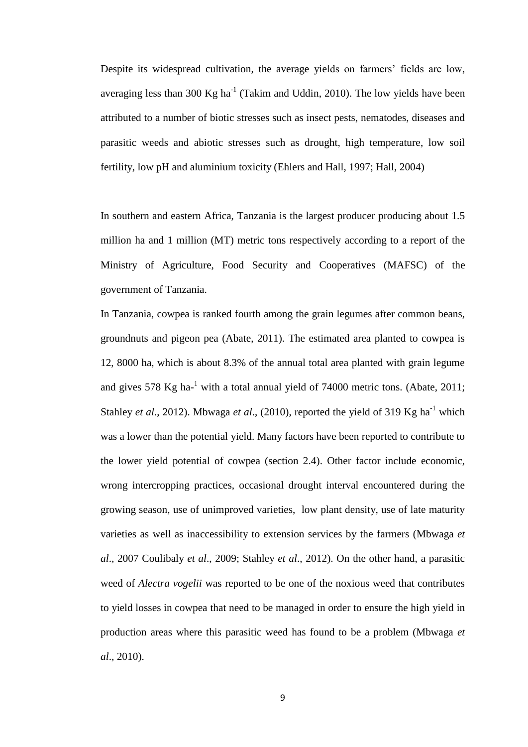Despite its widespread cultivation, the average yields on farmers' fields are low, averaging less than 300 Kg ha<sup>-1</sup> (Takim and Uddin, 2010). The low yields have been attributed to a number of biotic stresses such as insect pests, nematodes, diseases and parasitic weeds and abiotic stresses such as drought, high temperature, low soil fertility, low pH and aluminium toxicity (Ehlers and Hall, 1997; Hall, 2004)

In southern and eastern Africa, Tanzania is the largest producer producing about 1.5 million ha and 1 million (MT) metric tons respectively according to a report of the Ministry of Agriculture, Food Security and Cooperatives (MAFSC) of the government of Tanzania.

In Tanzania, cowpea is ranked fourth among the grain legumes after common beans, groundnuts and pigeon pea (Abate, 2011). The estimated area planted to cowpea is 12, 8000 ha, which is about 8.3% of the annual total area planted with grain legume and gives 578  $Kg$  ha- $^1$  with a total annual yield of 74000 metric tons. (Abate, 2011; Stahley *et al.*, 2012). Mbwaga *et al.*, (2010), reported the yield of 319 Kg ha<sup>-1</sup> which was a lower than the potential yield. Many factors have been reported to contribute to the lower yield potential of cowpea (section 2.4). Other factor include economic, wrong intercropping practices, occasional drought interval encountered during the growing season, use of unimproved varieties, low plant density, use of late maturity varieties as well as inaccessibility to extension services by the farmers (Mbwaga *et al*., 2007 Coulibaly *et al*., 2009; Stahley *et al*., 2012). On the other hand, a parasitic weed of *Alectra vogelii* was reported to be one of the noxious weed that contributes to yield losses in cowpea that need to be managed in order to ensure the high yield in production areas where this parasitic weed has found to be a problem (Mbwaga *et al*., 2010).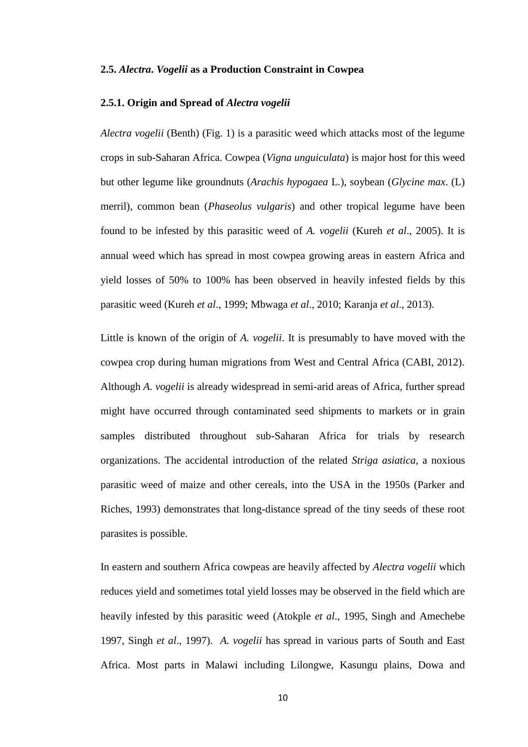#### <span id="page-21-0"></span>**2.5.** *Alectra***.** *Vogelii* **as a Production Constraint in Cowpea**

#### <span id="page-21-1"></span>**2.5.1. Origin and Spread of** *Alectra vogelii*

*Alectra vogelii* (Benth) (Fig. 1) is a parasitic weed which attacks most of the legume crops in sub-Saharan Africa. Cowpea (*Vigna unguiculata*) is major host for this weed but other legume like groundnuts (*Arachis hypogaea* L.), soybean (*Glycine max*. (L) merril), common bean (*Phaseolus vulgaris*) and other tropical legume have been found to be infested by this parasitic weed of *A. vogelii* (Kureh *et al*., 2005). It is annual weed which has spread in most cowpea growing areas in eastern Africa and yield losses of 50% to 100% has been observed in heavily infested fields by this parasitic weed (Kureh *et al*., 1999; Mbwaga *et al*., 2010; Karanja *et al*., 2013).

Little is known of the origin of *A. vogelii*. It is presumably to have moved with the cowpea crop during human migrations from West and Central Africa (CABI, 2012). Although *A. vogelii* is already widespread in semi-arid areas of Africa, further spread might have occurred through contaminated seed shipments to markets or in grain samples distributed throughout sub-Saharan Africa for trials by research organizations. The accidental introduction of the related *Striga asiatica*, a noxious parasitic weed of maize and other cereals, into the USA in the 1950s (Parker and Riches, 1993) demonstrates that long-distance spread of the tiny seeds of these root parasites is possible.

In eastern and southern Africa cowpeas are heavily affected by *Alectra vogelii* which reduces yield and sometimes total yield losses may be observed in the field which are heavily infested by this parasitic weed (Atokple *et al*., 1995, Singh and Amechebe 1997, Singh *et al*., 1997). *A. vogelii* has spread in various parts of South and East Africa. Most parts in Malawi including Lilongwe, Kasungu plains, Dowa and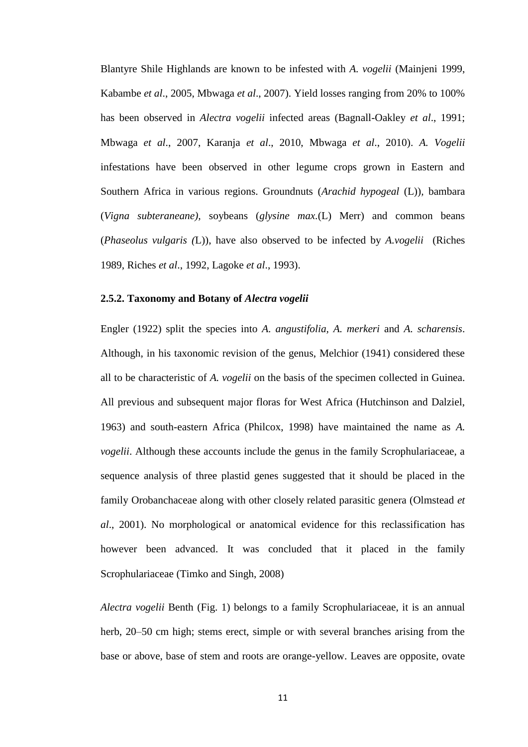Blantyre Shile Highlands are known to be infested with *A. vogelii* (Mainjeni 1999, Kabambe *et al*., 2005, Mbwaga *et al*., 2007). Yield losses ranging from 20% to 100% has been observed in *Alectra vogelii* infected areas (Bagnall-Oakley *et al*., 1991; Mbwaga *et al*., 2007, Karanja *et al*., 2010, Mbwaga *et al*., 2010). *A. Vogelii*  infestations have been observed in other legume crops grown in Eastern and Southern Africa in various regions. Groundnuts (*Arachid hypogeal* (L))*,* bambara (*Vigna subteraneane),* soybeans (*glysine max.*(L) Merr) and common beans (*Phaseolus vulgaris (*L)), have also observed to be infected by *A.vogelii* (Riches 1989, Riches *et al*., 1992, Lagoke *et al*., 1993).

#### <span id="page-22-0"></span>**2.5.2. Taxonomy and Botany of** *Alectra vogelii*

Engler (1922) split the species into *A. angustifolia, A. merkeri* and *A. scharensis*. Although, in his taxonomic revision of the genus, Melchior (1941) considered these all to be characteristic of *A. vogelii* on the basis of the specimen collected in Guinea. All previous and subsequent major floras for West Africa (Hutchinson and Dalziel, 1963) and south-eastern Africa (Philcox, 1998) have maintained the name as *A. vogelii*. Although these accounts include the genus in the family Scrophulariaceae, a sequence analysis of three plastid genes suggested that it should be placed in the family Orobanchaceae along with other closely related parasitic genera (Olmstead *et al*., 2001). No morphological or anatomical evidence for this reclassification has however been advanced. It was concluded that it placed in the family Scrophulariaceae (Timko and Singh, 2008)

*Alectra vogelii* Benth (Fig. 1) belongs to a family Scrophulariaceae, it is an annual herb, 20–50 cm high; stems erect, simple or with several branches arising from the base or above, base of stem and roots are orange-yellow. Leaves are opposite, ovate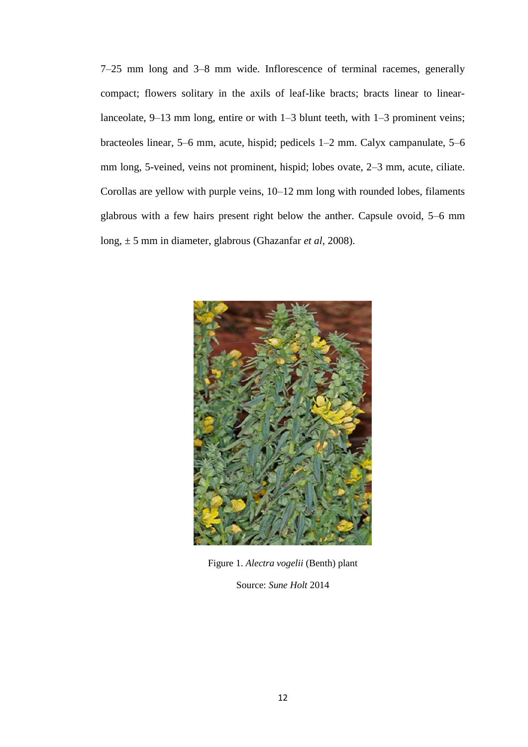7–25 mm long and 3–8 mm wide. Inflorescence of terminal racemes, generally compact; flowers solitary in the axils of leaf-like bracts; bracts linear to linearlanceolate, 9–13 mm long, entire or with 1–3 blunt teeth, with 1–3 prominent veins; bracteoles linear, 5–6 mm, acute, hispid; pedicels 1–2 mm. Calyx campanulate, 5–6 mm long, 5-veined, veins not prominent, hispid; lobes ovate, 2–3 mm, acute, ciliate. Corollas are yellow with purple veins, 10–12 mm long with rounded lobes, filaments glabrous with a few hairs present right below the anther. Capsule ovoid, 5–6 mm long, ± 5 mm in diameter, glabrous (Ghazanfar *et al*, 2008).



Figure 1. *Alectra vogelii* (Benth) plant

<span id="page-23-1"></span><span id="page-23-0"></span>Source: *Sune Holt* 2014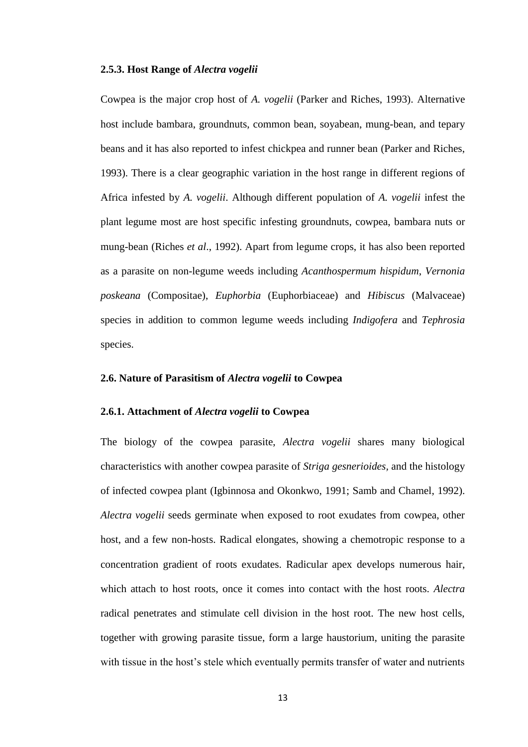#### **2.5.3. Host Range of** *Alectra vogelii*

Cowpea is the major crop host of *A. vogelii* (Parker and Riches, 1993). Alternative host include bambara, groundnuts, common bean, soyabean, mung-bean, and tepary beans and it has also reported to infest chickpea and runner bean (Parker and Riches, 1993). There is a clear geographic variation in the host range in different regions of Africa infested by *A. vogelii*. Although different population of *A. vogelii* infest the plant legume most are host specific infesting groundnuts, cowpea, bambara nuts or mung-bean (Riches *et al*., 1992). Apart from legume crops, it has also been reported as a parasite on non-legume weeds including *Acanthospermum hispidum*, *Vernonia poskeana* (Compositae), *Euphorbia* (Euphorbiaceae) and *Hibiscus* (Malvaceae) species in addition to common legume weeds including *Indigofera* and *Tephrosia* species.

#### <span id="page-24-0"></span>**2.6. Nature of Parasitism of** *Alectra vogelii* **to Cowpea**

#### <span id="page-24-1"></span>**2.6.1. Attachment of** *Alectra vogelii* **to Cowpea**

The biology of the cowpea parasite, *Alectra vogelii* shares many biological characteristics with another cowpea parasite of *Striga gesnerioides,* and the histology of infected cowpea plant (Igbinnosa and Okonkwo, 1991; Samb and Chamel, 1992). *Alectra vogelii* seeds germinate when exposed to root exudates from cowpea, other host, and a few non-hosts. Radical elongates, showing a chemotropic response to a concentration gradient of roots exudates. Radicular apex develops numerous hair, which attach to host roots, once it comes into contact with the host roots. *Alectra* radical penetrates and stimulate cell division in the host root. The new host cells, together with growing parasite tissue, form a large haustorium, uniting the parasite with tissue in the host's stele which eventually permits transfer of water and nutrients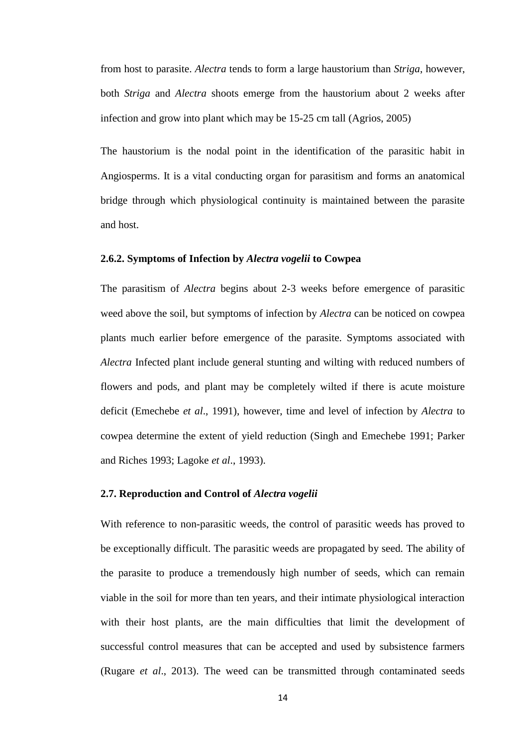from host to parasite. *Alectra* tends to form a large haustorium than *Striga*, however, both *Striga* and *Alectra* shoots emerge from the haustorium about 2 weeks after infection and grow into plant which may be 15-25 cm tall (Agrios, 2005)

The haustorium is the nodal point in the identification of the parasitic habit in Angiosperms. It is a vital conducting organ for parasitism and forms an anatomical bridge through which physiological continuity is maintained between the parasite and host.

#### <span id="page-25-0"></span>**2.6.2. Symptoms of Infection by** *Alectra vogelii* **to Cowpea**

The parasitism of *Alectra* begins about 2-3 weeks before emergence of parasitic weed above the soil, but symptoms of infection by *Alectra* can be noticed on cowpea plants much earlier before emergence of the parasite. Symptoms associated with *Alectra* Infected plant include general stunting and wilting with reduced numbers of flowers and pods, and plant may be completely wilted if there is acute moisture deficit (Emechebe *et al*., 1991), however, time and level of infection by *Alectra* to cowpea determine the extent of yield reduction (Singh and Emechebe 1991; Parker and Riches 1993; Lagoke *et al*., 1993).

#### <span id="page-25-1"></span>**2.7. Reproduction and Control of** *Alectra vogelii*

With reference to non-parasitic weeds, the control of parasitic weeds has proved to be exceptionally difficult. The parasitic weeds are propagated by seed. The ability of the parasite to produce a tremendously high number of seeds, which can remain viable in the soil for more than ten years, and their intimate physiological interaction with their host plants, are the main difficulties that limit the development of successful control measures that can be accepted and used by subsistence farmers (Rugare *et al*., 2013). The weed can be transmitted through contaminated seeds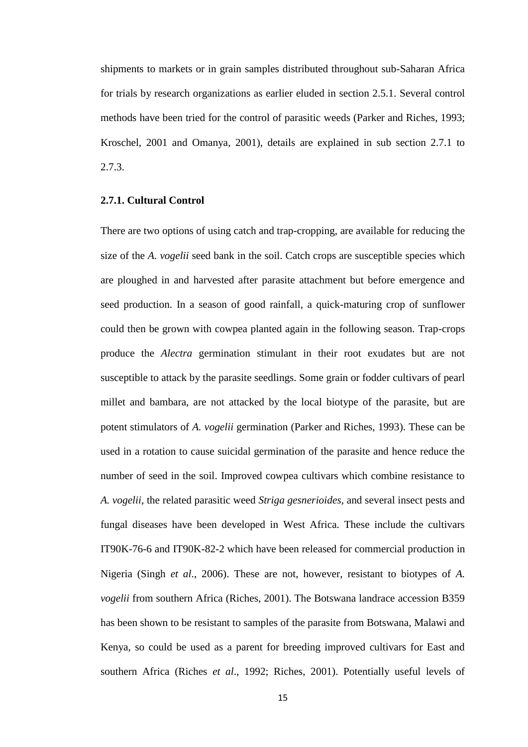shipments to markets or in grain samples distributed throughout sub-Saharan Africa for trials by research organizations as earlier eluded in section 2.5.1. Several control methods have been tried for the control of parasitic weeds (Parker and Riches, 1993; Kroschel, 2001 and Omanya, 2001), details are explained in sub section 2.7.1 to 2.7.3.

#### <span id="page-26-0"></span>**2.7.1. Cultural Control**

There are two options of using catch and trap-cropping, are available for reducing the size of the *A. vogelii* seed bank in the soil. Catch crops are susceptible species which are ploughed in and harvested after parasite attachment but before emergence and seed production. In a season of good rainfall, a quick-maturing crop of sunflower could then be grown with cowpea planted again in the following season. Trap-crops produce the *Alectra* germination stimulant in their root exudates but are not susceptible to attack by the parasite seedlings. Some grain or fodder cultivars of pearl millet and bambara, are not attacked by the local biotype of the parasite, but are potent stimulators of *A. vogelii* germination (Parker and Riches, 1993). These can be used in a rotation to cause suicidal germination of the parasite and hence reduce the number of seed in the soil. Improved cowpea cultivars which combine resistance to *A. vogelii*, the related parasitic weed *Striga gesnerioides,* and several insect pests and fungal diseases have been developed in West Africa. These include the cultivars IT90K-76-6 and IT90K-82-2 which have been released for commercial production in Nigeria (Singh *et al*., 2006). These are not, however, resistant to biotypes of *A. vogelii* from southern Africa (Riches, 2001). The Botswana landrace accession B359 has been shown to be resistant to samples of the parasite from Botswana, Malawi and Kenya, so could be used as a parent for breeding improved cultivars for East and southern Africa (Riches *et al*., 1992; Riches, 2001). Potentially useful levels of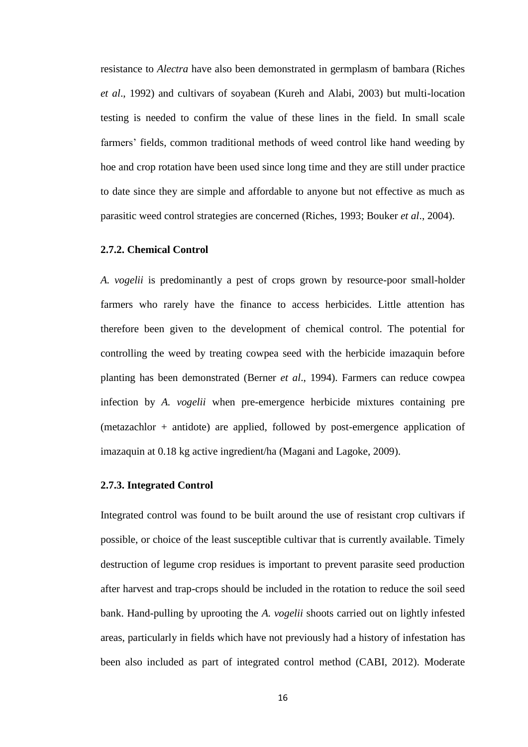resistance to *Alectra* have also been demonstrated in germplasm of bambara (Riches *et al*., 1992) and cultivars of soyabean (Kureh and Alabi, 2003) but multi-location testing is needed to confirm the value of these lines in the field. In small scale farmers' fields, common traditional methods of weed control like hand weeding by hoe and crop rotation have been used since long time and they are still under practice to date since they are simple and affordable to anyone but not effective as much as parasitic weed control strategies are concerned (Riches, 1993; Bouker *et al*., 2004).

#### <span id="page-27-0"></span>**2.7.2. Chemical Control**

*A. vogelii* is predominantly a pest of crops grown by resource-poor small-holder farmers who rarely have the finance to access herbicides. Little attention has therefore been given to the development of chemical control. The potential for controlling the weed by treating cowpea seed with the herbicide imazaquin before planting has been demonstrated (Berner *et al*., 1994). Farmers can reduce cowpea infection by *A. vogelii* when pre-emergence herbicide mixtures containing pre (metazachlor + antidote) are applied, followed by post-emergence application of imazaquin at 0.18 kg active ingredient/ha (Magani and Lagoke, 2009).

#### <span id="page-27-1"></span>**2.7.3. Integrated Control**

Integrated control was found to be built around the use of resistant crop cultivars if possible, or choice of the least susceptible cultivar that is currently available. Timely destruction of legume crop residues is important to prevent parasite seed production after harvest and trap-crops should be included in the rotation to reduce the soil seed bank. Hand-pulling by uprooting the *A. vogelii* shoots carried out on lightly infested areas, particularly in fields which have not previously had a history of infestation has been also included as part of integrated control method (CABI, 2012). Moderate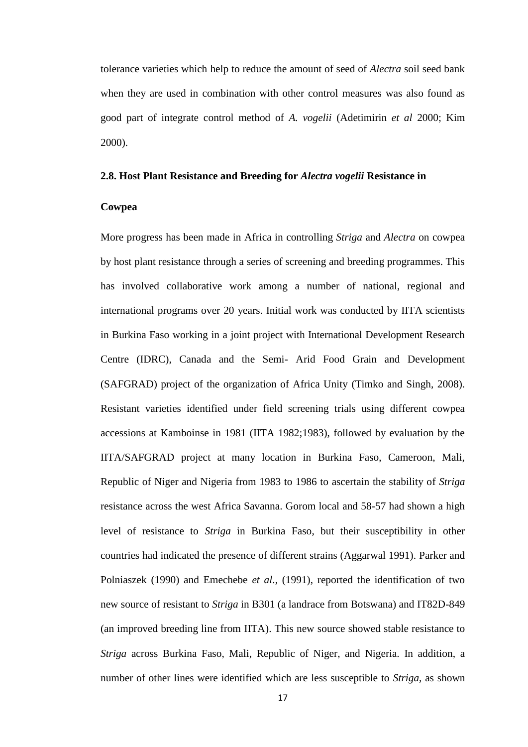tolerance varieties which help to reduce the amount of seed of *Alectra* soil seed bank when they are used in combination with other control measures was also found as good part of integrate control method of *A. vogelii* (Adetimirin *et al* 2000; Kim 2000).

#### <span id="page-28-0"></span>**2.8. Host Plant Resistance and Breeding for** *Alectra vogelii* **Resistance in**

#### **Cowpea**

More progress has been made in Africa in controlling *Striga* and *Alectra* on cowpea by host plant resistance through a series of screening and breeding programmes. This has involved collaborative work among a number of national, regional and international programs over 20 years. Initial work was conducted by IITA scientists in Burkina Faso working in a joint project with International Development Research Centre (IDRC), Canada and the Semi- Arid Food Grain and Development (SAFGRAD) project of the organization of Africa Unity (Timko and Singh, 2008). Resistant varieties identified under field screening trials using different cowpea accessions at Kamboinse in 1981 (IITA 1982;1983), followed by evaluation by the IITA/SAFGRAD project at many location in Burkina Faso, Cameroon, Mali, Republic of Niger and Nigeria from 1983 to 1986 to ascertain the stability of *Striga* resistance across the west Africa Savanna. Gorom local and 58-57 had shown a high level of resistance to *Striga* in Burkina Faso, but their susceptibility in other countries had indicated the presence of different strains (Aggarwal 1991). Parker and Polniaszek (1990) and Emechebe *et al*., (1991), reported the identification of two new source of resistant to *Striga* in B301 (a landrace from Botswana) and IT82D-849 (an improved breeding line from IITA). This new source showed stable resistance to *Striga* across Burkina Faso, Mali, Republic of Niger, and Nigeria. In addition, a number of other lines were identified which are less susceptible to *Striga*, as shown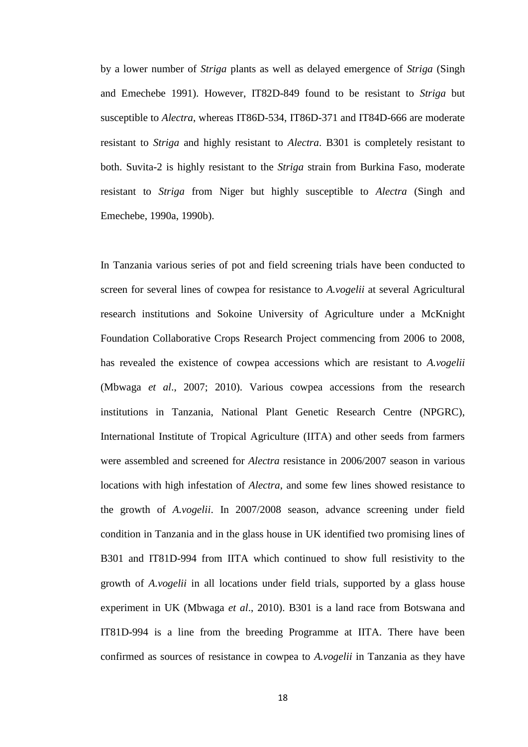by a lower number of *Striga* plants as well as delayed emergence of *Striga* (Singh and Emechebe 1991). However, IT82D-849 found to be resistant to *Striga* but susceptible to *Alectra*, whereas IT86D-534, IT86D-371 and IT84D-666 are moderate resistant to *Striga* and highly resistant to *Alectra*. B301 is completely resistant to both. Suvita-2 is highly resistant to the *Striga* strain from Burkina Faso, moderate resistant to *Striga* from Niger but highly susceptible to *Alectra* (Singh and Emechebe, 1990a, 1990b).

In Tanzania various series of pot and field screening trials have been conducted to screen for several lines of cowpea for resistance to *A.vogelii* at several Agricultural research institutions and Sokoine University of Agriculture under a McKnight Foundation Collaborative Crops Research Project commencing from 2006 to 2008, has revealed the existence of cowpea accessions which are resistant to *A.vogelii* (Mbwaga *et al*., 2007; 2010). Various cowpea accessions from the research institutions in Tanzania, National Plant Genetic Research Centre (NPGRC), International Institute of Tropical Agriculture (IITA) and other seeds from farmers were assembled and screened for *Alectra* resistance in 2006/2007 season in various locations with high infestation of *Alectra*, and some few lines showed resistance to the growth of *A.vogelii*. In 2007/2008 season, advance screening under field condition in Tanzania and in the glass house in UK identified two promising lines of B301 and IT81D-994 from IITA which continued to show full resistivity to the growth of *A.vogelii* in all locations under field trials, supported by a glass house experiment in UK (Mbwaga *et al*., 2010). B301 is a land race from Botswana and IT81D-994 is a line from the breeding Programme at IITA. There have been confirmed as sources of resistance in cowpea to *A.vogelii* in Tanzania as they have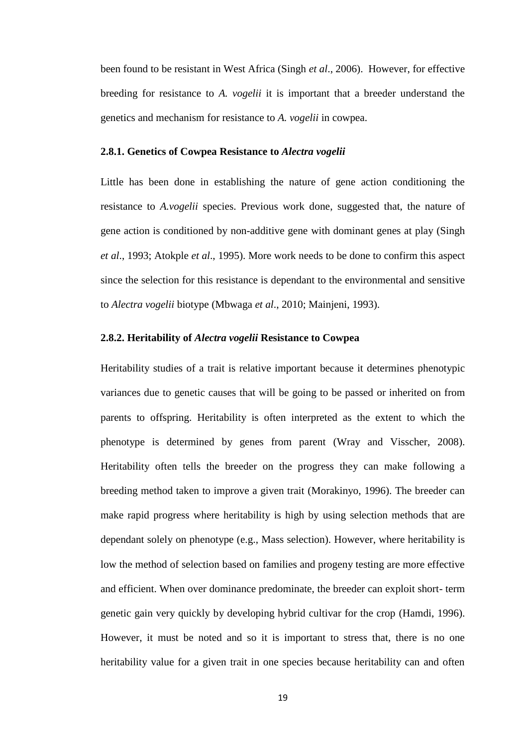been found to be resistant in West Africa (Singh *et al*., 2006). However, for effective breeding for resistance to *A. vogelii* it is important that a breeder understand the genetics and mechanism for resistance to *A. vogelii* in cowpea.

#### <span id="page-30-0"></span>**2.8.1. Genetics of Cowpea Resistance to** *Alectra vogelii*

Little has been done in establishing the nature of gene action conditioning the resistance to *A.vogelii* species. Previous work done, suggested that, the nature of gene action is conditioned by non-additive gene with dominant genes at play (Singh *et al*., 1993; Atokple *et al*., 1995). More work needs to be done to confirm this aspect since the selection for this resistance is dependant to the environmental and sensitive to *Alectra vogelii* biotype (Mbwaga *et al*., 2010; Mainjeni, 1993).

#### <span id="page-30-1"></span>**2.8.2. Heritability of** *Alectra vogelii* **Resistance to Cowpea**

Heritability studies of a trait is relative important because it determines phenotypic variances due to genetic causes that will be going to be passed or inherited on from parents to offspring. Heritability is often interpreted as the extent to which the phenotype is determined by genes from parent (Wray and Visscher, 2008). Heritability often tells the breeder on the progress they can make following a breeding method taken to improve a given trait (Morakinyo, 1996). The breeder can make rapid progress where heritability is high by using selection methods that are dependant solely on phenotype (e.g., Mass selection). However, where heritability is low the method of selection based on families and progeny testing are more effective and efficient. When over dominance predominate, the breeder can exploit short- term genetic gain very quickly by developing hybrid cultivar for the crop (Hamdi, 1996). However, it must be noted and so it is important to stress that, there is no one heritability value for a given trait in one species because heritability can and often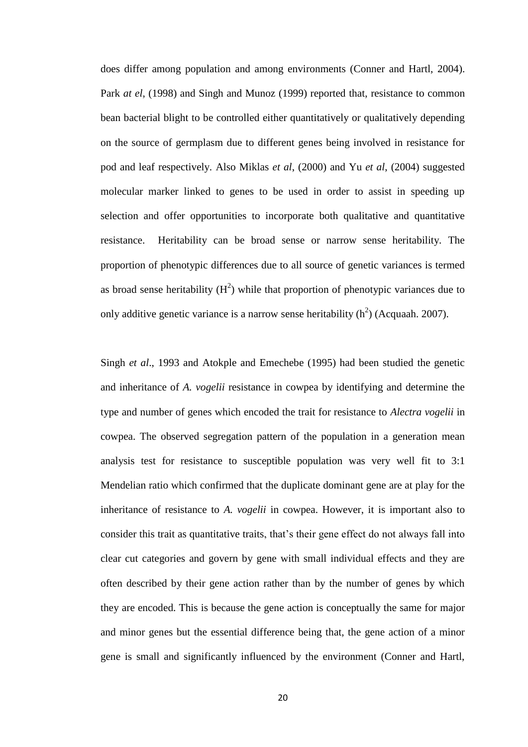does differ among population and among environments (Conner and Hartl, 2004). Park *at el*, (1998) and Singh and Munoz (1999) reported that, resistance to common bean bacterial blight to be controlled either quantitatively or qualitatively depending on the source of germplasm due to different genes being involved in resistance for pod and leaf respectively. Also Miklas *et al*, (2000) and Yu *et al*, (2004) suggested molecular marker linked to genes to be used in order to assist in speeding up selection and offer opportunities to incorporate both qualitative and quantitative resistance. Heritability can be broad sense or narrow sense heritability. The proportion of phenotypic differences due to all source of genetic variances is termed as broad sense heritability  $(H^2)$  while that proportion of phenotypic variances due to only additive genetic variance is a narrow sense heritability  $(h^2)$  (Acquaah. 2007).

Singh *et al*., 1993 and Atokple and Emechebe (1995) had been studied the genetic and inheritance of *A. vogelii* resistance in cowpea by identifying and determine the type and number of genes which encoded the trait for resistance to *Alectra vogelii* in cowpea. The observed segregation pattern of the population in a generation mean analysis test for resistance to susceptible population was very well fit to 3:1 Mendelian ratio which confirmed that the duplicate dominant gene are at play for the inheritance of resistance to *A. vogelii* in cowpea. However, it is important also to consider this trait as quantitative traits, that's their gene effect do not always fall into clear cut categories and govern by gene with small individual effects and they are often described by their gene action rather than by the number of genes by which they are encoded. This is because the gene action is conceptually the same for major and minor genes but the essential difference being that, the gene action of a minor gene is small and significantly influenced by the environment (Conner and Hartl,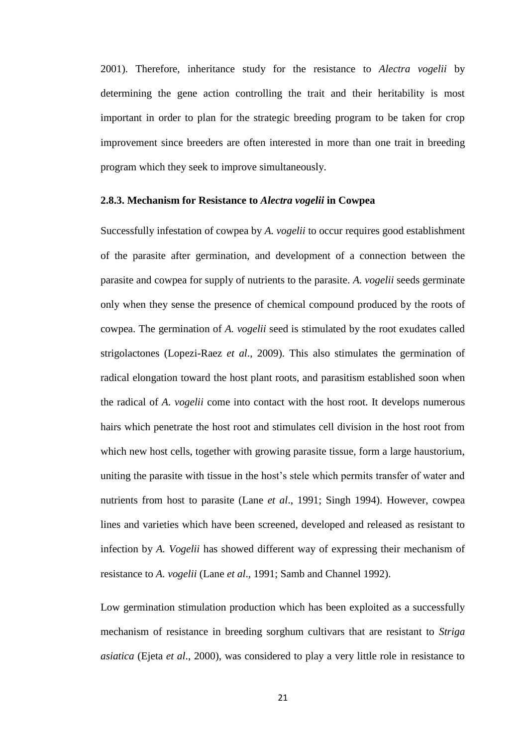2001). Therefore, inheritance study for the resistance to *Alectra vogelii* by determining the gene action controlling the trait and their heritability is most important in order to plan for the strategic breeding program to be taken for crop improvement since breeders are often interested in more than one trait in breeding program which they seek to improve simultaneously.

#### <span id="page-32-0"></span>**2.8.3. Mechanism for Resistance to** *Alectra vogelii* **in Cowpea**

Successfully infestation of cowpea by *A. vogelii* to occur requires good establishment of the parasite after germination, and development of a connection between the parasite and cowpea for supply of nutrients to the parasite. *A. vogelii* seeds germinate only when they sense the presence of chemical compound produced by the roots of cowpea. The germination of *A. vogelii* seed is stimulated by the root exudates called strigolactones (Lopezi-Raez *et al*., 2009). This also stimulates the germination of radical elongation toward the host plant roots, and parasitism established soon when the radical of *A. vogelii* come into contact with the host root. It develops numerous hairs which penetrate the host root and stimulates cell division in the host root from which new host cells, together with growing parasite tissue, form a large haustorium, uniting the parasite with tissue in the host's stele which permits transfer of water and nutrients from host to parasite (Lane *et al*., 1991; Singh 1994). However, cowpea lines and varieties which have been screened, developed and released as resistant to infection by *A. Vogelii* has showed different way of expressing their mechanism of resistance to *A. vogelii* (Lane *et al*., 1991; Samb and Channel 1992).

Low germination stimulation production which has been exploited as a successfully mechanism of resistance in breeding sorghum cultivars that are resistant to *Striga asiatica* (Ejeta *et al*., 2000), was considered to play a very little role in resistance to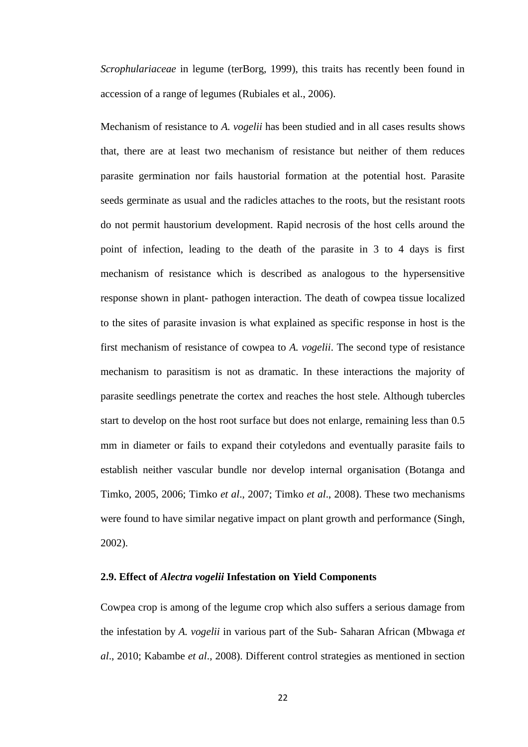*Scrophulariaceae* in legume (terBorg, 1999), this traits has recently been found in accession of a range of legumes (Rubiales et al., 2006).

Mechanism of resistance to *A. vogelii* has been studied and in all cases results shows that, there are at least two mechanism of resistance but neither of them reduces parasite germination nor fails haustorial formation at the potential host. Parasite seeds germinate as usual and the radicles attaches to the roots, but the resistant roots do not permit haustorium development. Rapid necrosis of the host cells around the point of infection, leading to the death of the parasite in 3 to 4 days is first mechanism of resistance which is described as analogous to the hypersensitive response shown in plant- pathogen interaction. The death of cowpea tissue localized to the sites of parasite invasion is what explained as specific response in host is the first mechanism of resistance of cowpea to *A. vogelii*. The second type of resistance mechanism to parasitism is not as dramatic. In these interactions the majority of parasite seedlings penetrate the cortex and reaches the host stele. Although tubercles start to develop on the host root surface but does not enlarge, remaining less than 0.5 mm in diameter or fails to expand their cotyledons and eventually parasite fails to establish neither vascular bundle nor develop internal organisation (Botanga and Timko, 2005, 2006; Timko *et al*., 2007; Timko *et al*., 2008). These two mechanisms were found to have similar negative impact on plant growth and performance (Singh, 2002).

#### <span id="page-33-0"></span>**2.9. Effect of** *Alectra vogelii* **Infestation on Yield Components**

Cowpea crop is among of the legume crop which also suffers a serious damage from the infestation by *A. vogelii* in various part of the Sub- Saharan African (Mbwaga *et al*., 2010; Kabambe *et al*., 2008). Different control strategies as mentioned in section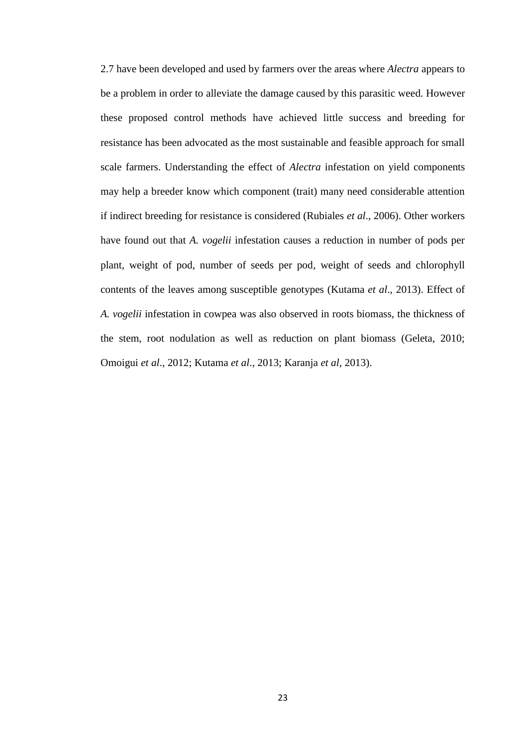2.7 have been developed and used by farmers over the areas where *Alectra* appears to be a problem in order to alleviate the damage caused by this parasitic weed. However these proposed control methods have achieved little success and breeding for resistance has been advocated as the most sustainable and feasible approach for small scale farmers. Understanding the effect of *Alectra* infestation on yield components may help a breeder know which component (trait) many need considerable attention if indirect breeding for resistance is considered (Rubiales *et al*., 2006). Other workers have found out that *A. vogelii* infestation causes a reduction in number of pods per plant, weight of pod, number of seeds per pod, weight of seeds and chlorophyll contents of the leaves among susceptible genotypes (Kutama *et al*., 2013). Effect of *A. vogelii* infestation in cowpea was also observed in roots biomass, the thickness of the stem, root nodulation as well as reduction on plant biomass (Geleta, 2010; Omoigui *et al*., 2012; Kutama *et al*., 2013; Karanja *et al*, 2013).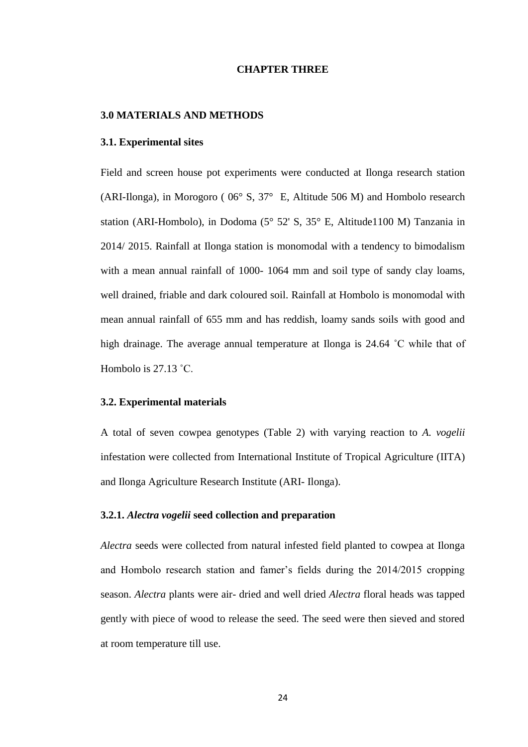#### **CHAPTER THREE**

#### <span id="page-35-1"></span><span id="page-35-0"></span>**3.0 MATERIALS AND METHODS**

#### <span id="page-35-2"></span>**3.1. Experimental sites**

Field and screen house pot experiments were conducted at Ilonga research station (ARI-Ilonga), in Morogoro ( 06° S, 37° E, Altitude 506 M) and Hombolo research station (ARI-Hombolo), in Dodoma (5° 52' S, 35° E, Altitude1100 M) Tanzania in 2014/ 2015. Rainfall at Ilonga station is monomodal with a tendency to bimodalism with a mean annual rainfall of 1000- 1064 mm and soil type of sandy clay loams, well drained, friable and dark coloured soil. Rainfall at Hombolo is monomodal with mean annual rainfall of 655 mm and has reddish, loamy sands soils with good and high drainage. The average annual temperature at Ilonga is 24.64 ˚C while that of Hombolo is 27.13 ˚C.

#### <span id="page-35-3"></span>**3.2. Experimental materials**

A total of seven cowpea genotypes (Table 2) with varying reaction to *A. vogelii* infestation were collected from International Institute of Tropical Agriculture (IITA) and Ilonga Agriculture Research Institute (ARI- Ilonga).

#### <span id="page-35-4"></span>**3.2.1.** *Alectra vogelii* **seed collection and preparation**

*Alectra* seeds were collected from natural infested field planted to cowpea at Ilonga and Hombolo research station and famer's fields during the 2014/2015 cropping season. *Alectra* plants were air- dried and well dried *Alectra* floral heads was tapped gently with piece of wood to release the seed. The seed were then sieved and stored at room temperature till use.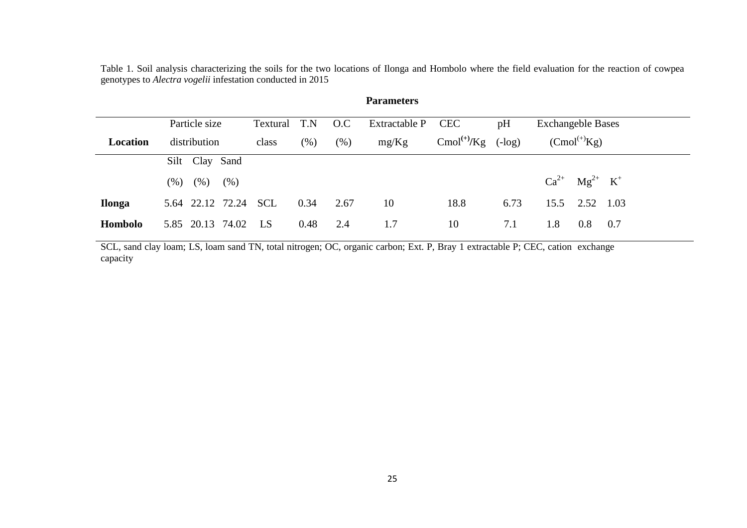Table 1. Soil analysis characterizing the soils for the two locations of Ilonga and Hombolo where the field evaluation for the reaction of cowpea genotypes to *Alectra vogelii* infestation conducted in 2015

| <b>Parameters</b> |                         |            |        |         |               |                  |           |                           |  |
|-------------------|-------------------------|------------|--------|---------|---------------|------------------|-----------|---------------------------|--|
|                   | Particle size           | Textural   | T.N    | O.C     | Extractable P | <b>CEC</b>       | pH        | <b>Exchangeble Bases</b>  |  |
| Location          | distribution            | class      | $(\%)$ | $(\% )$ | mg/Kg         | $Cmol^{(+)}$ /Kg | $(-\log)$ | $(Cmol^{(+)}Kg)$          |  |
|                   | Silt Clay Sand          |            |        |         |               |                  |           |                           |  |
|                   | $(\% )$<br>(% )<br>(% ) |            |        |         |               |                  |           | $Ca^{2+}$ $Mg^{2+}$ $K^+$ |  |
| <b>Ilonga</b>     | 5.64 22.12 72.24        | <b>SCL</b> | 0.34   | 2.67    | 10            | 18.8             | 6.73      | 15.5<br>2.52<br>1.03      |  |
| Hombolo           | 5.85 20.13 74.02        | LS         | 0.48   | 2.4     | 1.7           | 10               | 7.1       | 1.8<br>0.8<br>0.7         |  |

SCL, sand clay loam; LS, loam sand TN, total nitrogen; OC, organic carbon; Ext. P, Bray 1 extractable P; CEC, cation exchange capacity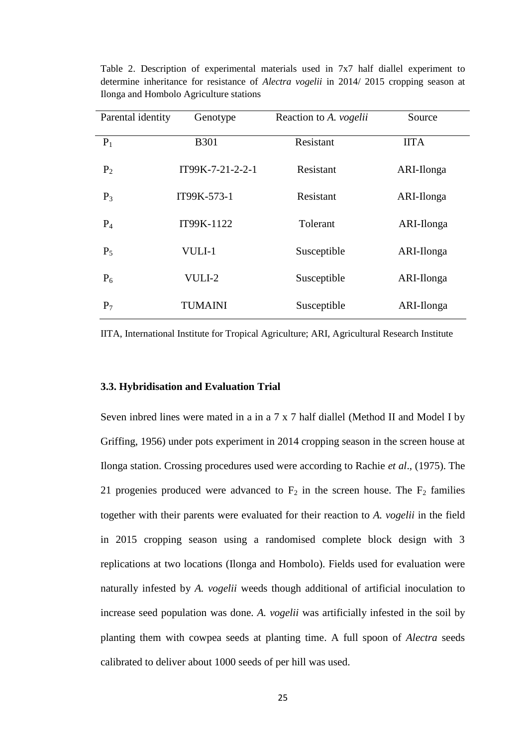| Parental identity | Genotype         | Reaction to A. vogelii | Source      |
|-------------------|------------------|------------------------|-------------|
| $P_1$             | <b>B301</b>      | Resistant              | <b>IITA</b> |
| $P_2$             | IT99K-7-21-2-2-1 | Resistant              | ARI-Ilonga  |
| $P_3$             | IT99K-573-1      | Resistant              | ARI-Ilonga  |
| $P_4$             | IT99K-1122       | Tolerant               | ARI-Ilonga  |
| $P_5$             | VULI-1           | Susceptible            | ARI-Ilonga  |
| $P_6$             | VULI-2           | Susceptible            | ARI-Ilonga  |
| $P_7$             | <b>TUMAINI</b>   | Susceptible            | ARI-Ilonga  |

Table 2. Description of experimental materials used in 7x7 half diallel experiment to determine inheritance for resistance of *Alectra vogelii* in 2014/ 2015 cropping season at Ilonga and Hombolo Agriculture stations

IITA, International Institute for Tropical Agriculture; ARI, Agricultural Research Institute

### **3.3. Hybridisation and Evaluation Trial**

Seven inbred lines were mated in a in a 7 x 7 half diallel (Method II and Model I by Griffing, 1956) under pots experiment in 2014 cropping season in the screen house at Ilonga station. Crossing procedures used were according to Rachie *et al*., (1975). The 21 progenies produced were advanced to  $F_2$  in the screen house. The  $F_2$  families together with their parents were evaluated for their reaction to *A. vogelii* in the field in 2015 cropping season using a randomised complete block design with 3 replications at two locations (Ilonga and Hombolo). Fields used for evaluation were naturally infested by *A. vogelii* weeds though additional of artificial inoculation to increase seed population was done. *A. vogelii* was artificially infested in the soil by planting them with cowpea seeds at planting time. A full spoon of *Alectra* seeds calibrated to deliver about 1000 seeds of per hill was used.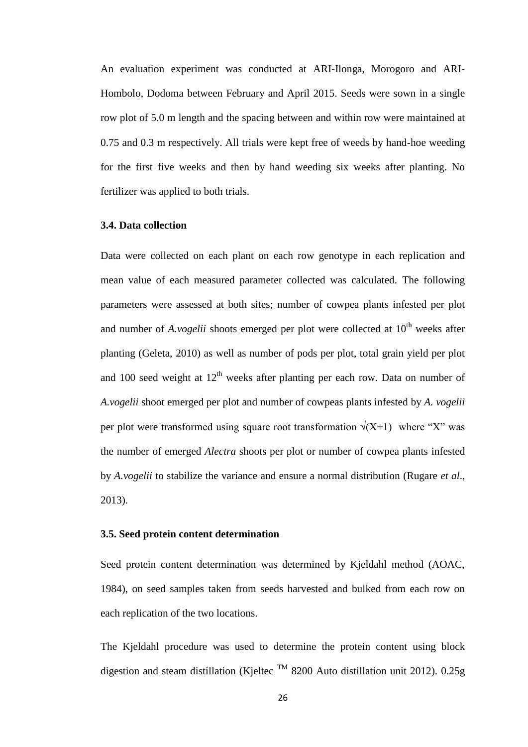An evaluation experiment was conducted at ARI-Ilonga, Morogoro and ARI-Hombolo, Dodoma between February and April 2015. Seeds were sown in a single row plot of 5.0 m length and the spacing between and within row were maintained at 0.75 and 0.3 m respectively. All trials were kept free of weeds by hand-hoe weeding for the first five weeks and then by hand weeding six weeks after planting. No fertilizer was applied to both trials.

### **3.4. Data collection**

Data were collected on each plant on each row genotype in each replication and mean value of each measured parameter collected was calculated. The following parameters were assessed at both sites; number of cowpea plants infested per plot and number of  $A$ *, vogelii* shoots emerged per plot were collected at  $10<sup>th</sup>$  weeks after planting (Geleta, 2010) as well as number of pods per plot, total grain yield per plot and 100 seed weight at  $12<sup>th</sup>$  weeks after planting per each row. Data on number of *A.vogelii* shoot emerged per plot and number of cowpeas plants infested by *A. vogelii* per plot were transformed using square root transformation  $\sqrt{(X+1)}$  where "X" was the number of emerged *Alectra* shoots per plot or number of cowpea plants infested by *A.vogelii* to stabilize the variance and ensure a normal distribution (Rugare *et al*., 2013).

### **3.5. Seed protein content determination**

Seed protein content determination was determined by Kjeldahl method (AOAC, 1984), on seed samples taken from seeds harvested and bulked from each row on each replication of the two locations.

The Kjeldahl procedure was used to determine the protein content using block digestion and steam distillation (Kjeltec <sup>TM</sup> 8200 Auto distillation unit 2012). 0.25g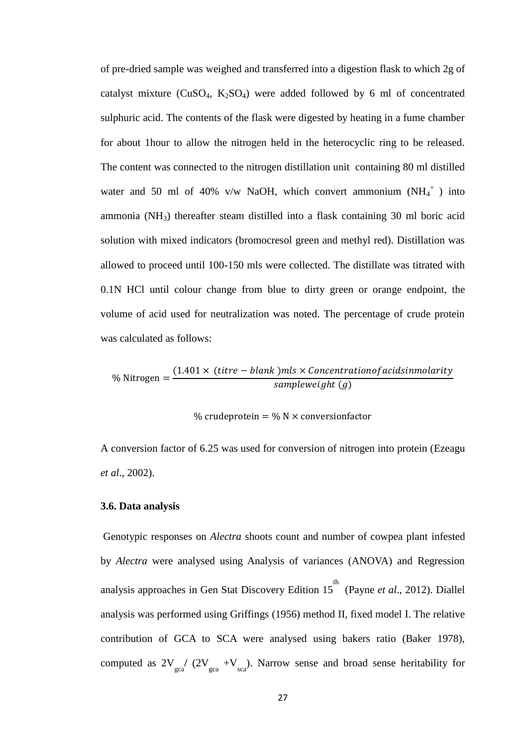of pre-dried sample was weighed and transferred into a digestion flask to which 2g of catalyst mixture ( $CuSO<sub>4</sub>$ ,  $K<sub>2</sub>SO<sub>4</sub>$ ) were added followed by 6 ml of concentrated sulphuric acid. The contents of the flask were digested by heating in a fume chamber for about 1hour to allow the nitrogen held in the heterocyclic ring to be released. The content was connected to the nitrogen distillation unit containing 80 ml distilled water and 50 ml of 40% v/w NaOH, which convert ammonium  $(NH_4^+)$  into ammonia (NH3) thereafter steam distilled into a flask containing 30 ml boric acid solution with mixed indicators (bromocresol green and methyl red). Distillation was allowed to proceed until 100-150 mls were collected. The distillate was titrated with 0.1N HCl until colour change from blue to dirty green or orange endpoint, the volume of acid used for neutralization was noted. The percentage of crude protein was calculated as follows:

$$
\% \text{ Nitrogen} = \frac{(1.401 \times (titre - blank)mls \times {Concentrationof acidsimolarity} )}{sampleweight (g)}
$$

% crudeprotein = % N  $\times$  conversionfactor

A conversion factor of 6.25 was used for conversion of nitrogen into protein (Ezeagu *et al*., 2002).

#### **3.6. Data analysis**

Genotypic responses on *Alectra* shoots count and number of cowpea plant infested by *Alectra* were analysed using Analysis of variances (ANOVA) and Regression analysis approaches in Gen Stat Discovery Edition 15<sup>th</sup> (Payne *et al.*, 2012). Diallel analysis was performed using Griffings (1956) method II, fixed model I. The relative contribution of GCA to SCA were analysed using bakers ratio (Baker 1978), computed as  $2V_{\text{gca}} / (2V_{\text{gca}} + V_{\text{sea}})$ . Narrow sense and broad sense heritability for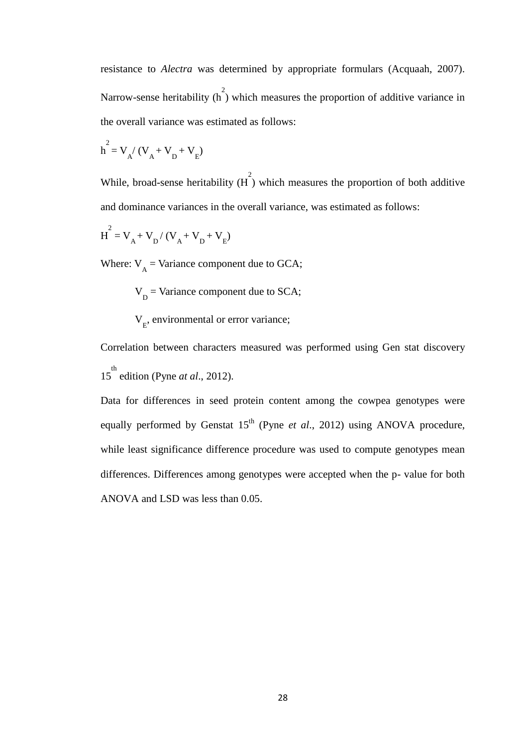resistance to *Alectra* was determined by appropriate formulars (Acquaah, 2007). Narrow-sense heritability  $\left(\begin{array}{c} 2 \\ 1 \end{array}\right)$  which measures the proportion of additive variance in the overall variance was estimated as follows:

$$
h^2 = V_A / (V_A + V_D + V_E)
$$

While, broad-sense heritability  $(H)$  which measures the proportion of both additive and dominance variances in the overall variance, was estimated as follows:

$$
H^2 = V_A + V_D / (V_A + V_D + V_E)
$$

Where:  $V_A$  = Variance component due to GCA;

$$
VD
$$
 = Variance component due to SCA;

V<sub>E</sub>, environmental or error variance;

Correlation between characters measured was performed using Gen stat discovery 15<sup>th</sup> edition (Pyne *at al.*, 2012).

Data for differences in seed protein content among the cowpea genotypes were equally performed by Genstat 15<sup>th</sup> (Pyne *et al.*, 2012) using ANOVA procedure, while least significance difference procedure was used to compute genotypes mean differences. Differences among genotypes were accepted when the p- value for both ANOVA and LSD was less than 0.05.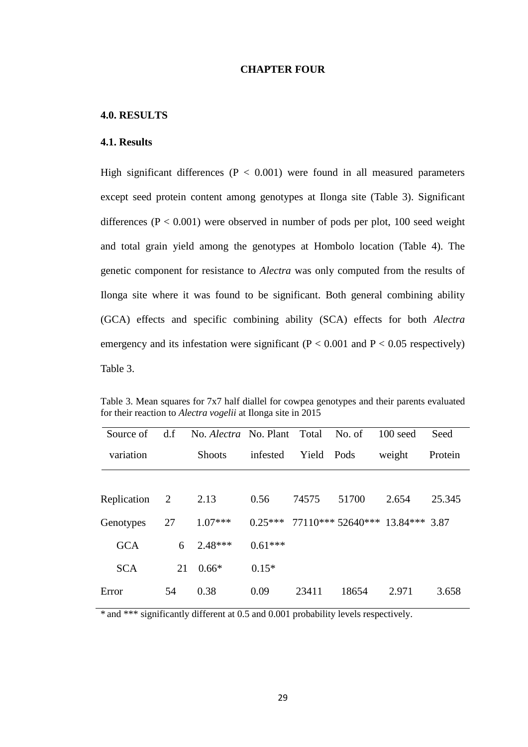# **CHAPTER FOUR**

# **4.0. RESULTS**

# **4.1. Results**

High significant differences ( $P < 0.001$ ) were found in all measured parameters except seed protein content among genotypes at Ilonga site (Table 3). Significant differences ( $P < 0.001$ ) were observed in number of pods per plot, 100 seed weight and total grain yield among the genotypes at Hombolo location (Table 4). The genetic component for resistance to *Alectra* was only computed from the results of Ilonga site where it was found to be significant. Both general combining ability (GCA) effects and specific combining ability (SCA) effects for both *Alectra* emergency and its infestation were significant ( $P < 0.001$  and  $P < 0.05$  respectively) Table 3.

Table 3. Mean squares for 7x7 half diallel for cowpea genotypes and their parents evaluated for their reaction to *Alectra vogelii* at Ilonga site in 2015

| Source of   | d.f            | No. <i>Alectra</i> No. Plant Total |           |            | No. of | $100$ seed                      | Seed    |
|-------------|----------------|------------------------------------|-----------|------------|--------|---------------------------------|---------|
| variation   |                | <b>Shoots</b>                      | infested  | Yield Pods |        | weight                          | Protein |
|             |                |                                    |           |            |        |                                 |         |
| Replication | $\overline{2}$ | 2.13                               | 0.56      | 74575      | 51700  | 2.654                           | 25.345  |
| Genotypes   | 27             | $1.07***$                          | $0.25***$ |            |        | 77110*** 52640*** 13.84*** 3.87 |         |
| <b>GCA</b>  | 6              | $2.48***$                          | $0.61***$ |            |        |                                 |         |
| <b>SCA</b>  | 21             | $0.66*$                            | $0.15*$   |            |        |                                 |         |
| Error       | 54             | 0.38                               | 0.09      | 23411      | 18654  | 2.971                           | 3.658   |

\* and \*\*\* significantly different at 0.5 and 0.001 probability levels respectively.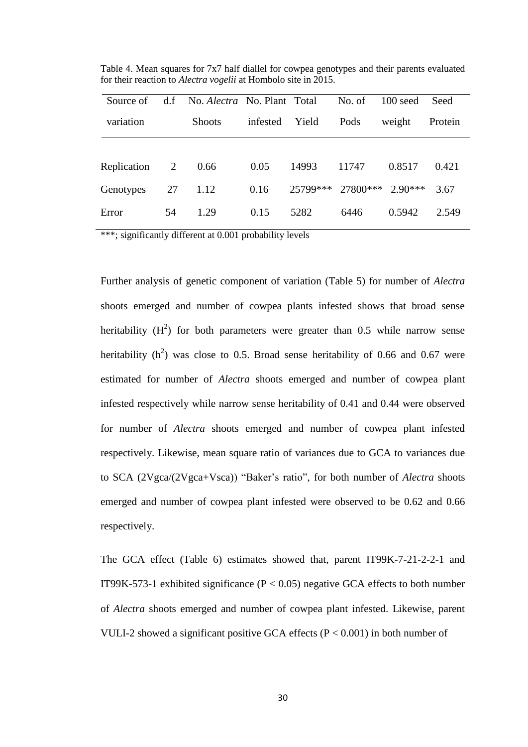| Source of   | d.f | No. <i>Alectra</i> No. Plant Total |          |          | No. of   | $100 \text{ seed}$ | Seed    |
|-------------|-----|------------------------------------|----------|----------|----------|--------------------|---------|
| variation   |     | <b>Shoots</b>                      | infested | Yield    | Pods     | weight             | Protein |
|             |     |                                    |          |          |          |                    |         |
| Replication | 2   | 0.66                               | 0.05     | 14993    | 11747    | 0.8517             | 0.421   |
| Genotypes   | 27  | 1.12                               | 0.16     | 25799*** | 27800*** | $2.90***$          | 3.67    |
| Error       | 54  | 1.29                               | 0.15     | 5282     | 6446     | 0.5942             | 2.549   |

Table 4. Mean squares for 7x7 half diallel for cowpea genotypes and their parents evaluated for their reaction to *Alectra vogelii* at Hombolo site in 2015.

\*\*\*; significantly different at 0.001 probability levels

Further analysis of genetic component of variation (Table 5) for number of *Alectra* shoots emerged and number of cowpea plants infested shows that broad sense heritability  $(H^2)$  for both parameters were greater than 0.5 while narrow sense heritability  $(h^2)$  was close to 0.5. Broad sense heritability of 0.66 and 0.67 were estimated for number of *Alectra* shoots emerged and number of cowpea plant infested respectively while narrow sense heritability of 0.41 and 0.44 were observed for number of *Alectra* shoots emerged and number of cowpea plant infested respectively. Likewise, mean square ratio of variances due to GCA to variances due to SCA (2Vgca/(2Vgca+Vsca)) "Baker's ratio", for both number of *Alectra* shoots emerged and number of cowpea plant infested were observed to be 0.62 and 0.66 respectively.

The GCA effect (Table 6) estimates showed that, parent IT99K-7-21-2-2-1 and IT99K-573-1 exhibited significance ( $P < 0.05$ ) negative GCA effects to both number of *Alectra* shoots emerged and number of cowpea plant infested. Likewise, parent VULI-2 showed a significant positive GCA effects ( $P < 0.001$ ) in both number of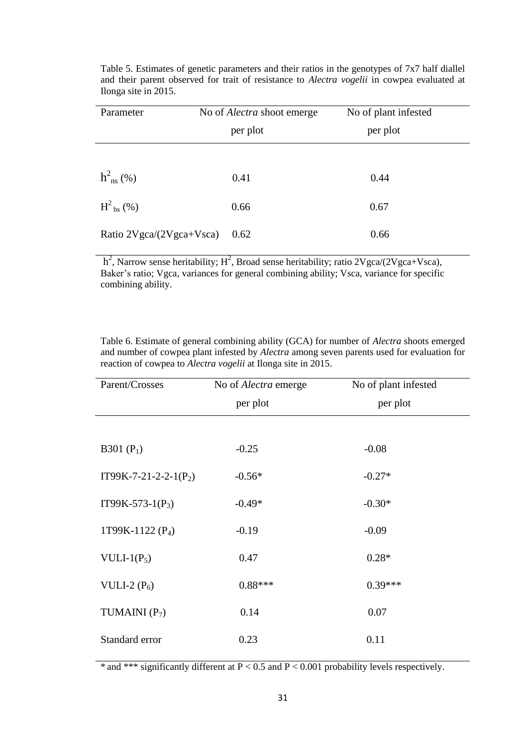| Parameter                | No of <i>Alectra</i> shoot emerge | No of plant infested |  |
|--------------------------|-----------------------------------|----------------------|--|
|                          | per plot                          | per plot             |  |
|                          |                                   |                      |  |
| $h_{\text{ns}}^2$ (%)    | 0.41                              | 0.44                 |  |
| $H^2_{\text{bs}}$ (%)    | 0.66                              | 0.67                 |  |
| Ratio 2Vgca/(2Vgca+Vsca) | 0.62                              | 0.66                 |  |

Table 5. Estimates of genetic parameters and their ratios in the genotypes of 7x7 half diallel and their parent observed for trait of resistance to *Alectra vogelii* in cowpea evaluated at Ilonga site in 2015.

 $h^2$ , Narrow sense heritability;  $H^2$ , Broad sense heritability; ratio 2Vgca/(2Vgca+Vsca), Baker's ratio; Vgca, variances for general combining ability; Vsca, variance for specific combining ability.

| Parent/Crosses          | No of <i>Alectra</i> emerge<br>per plot | No of plant infested<br>per plot |
|-------------------------|-----------------------------------------|----------------------------------|
| B301 $(P_1)$            | $-0.25$                                 | $-0.08$                          |
| $IT99K-7-21-2-2-1(P_2)$ | $-0.56*$                                | $-0.27*$                         |
| $IT99K-573-1(P_3)$      | $-0.49*$                                | $-0.30*$                         |
| 1T99K-1122 $(P_4)$      | $-0.19$                                 | $-0.09$                          |
| VULI-1 $(P_5)$          | 0.47                                    | $0.28*$                          |
| VULI-2 $(P_6)$          | $0.88***$                               | $0.39***$                        |
| TUMAINI $(P_7)$         | 0.14                                    | 0.07                             |
| Standard error          | 0.23                                    | 0.11                             |

Table 6. Estimate of general combining ability (GCA) for number of *Alectra* shoots emerged and number of cowpea plant infested by *Alectra* among seven parents used for evaluation for reaction of cowpea to *Alectra vogelii* at Ilonga site in 2015.

\* and \*\*\* significantly different at  $P < 0.5$  and  $P < 0.001$  probability levels respectively.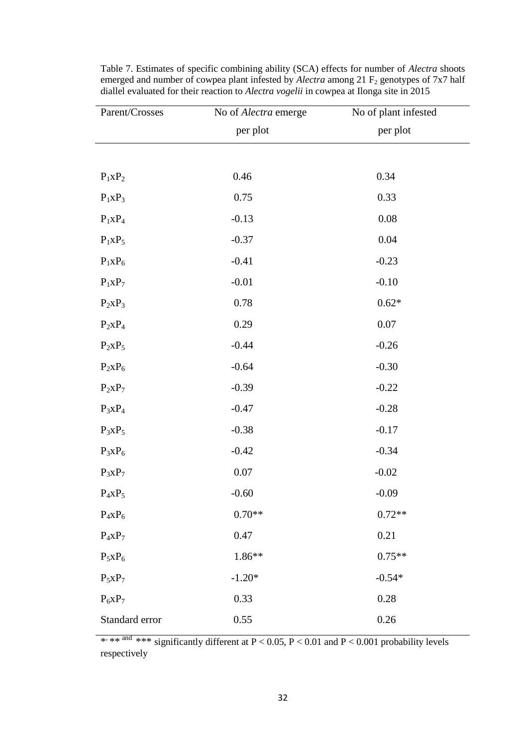| Parent/Crosses | No of Alectra emerge | No of plant infested |
|----------------|----------------------|----------------------|
|                | per plot             | per plot             |
|                |                      |                      |
| $P_1XP_2$      | 0.46                 | 0.34                 |
| $P_1XP_3$      | 0.75                 | 0.33                 |
| $P_1XP_4$      | $-0.13$              | $0.08\,$             |
| $P_1XP_5$      | $-0.37$              | 0.04                 |
| $P_1XP_6$      | $-0.41$              | $-0.23$              |
| $P_1XP_7$      | $-0.01$              | $-0.10$              |
| $P_2XP_3$      | 0.78                 | $0.62\mathrm{*}$     |
| $P_2XP_4$      | 0.29                 | $0.07\,$             |
| $P_2XP_5$      | $-0.44$              | $-0.26$              |
| $P_2XP_6$      | $-0.64$              | $-0.30$              |
| $P_2XP_7$      | $-0.39$              | $-0.22$              |
| $P_3XP_4$      | $-0.47$              | $-0.28$              |
| $P_3XP_5$      | $-0.38$              | $-0.17$              |
| $P_3XP_6$      | $-0.42$              | $-0.34$              |
| $P_3XP_7$      | $0.07\,$             | $-0.02$              |
| $P_4XP_5$      | $-0.60$              | $-0.09$              |
| $P_4XP_6$      | $0.70**$             | $0.72**$             |
| $P_4xP_7$      | 0.47                 | 0.21                 |
| $P_5xP_6$      | 1.86**               | $0.75**$             |
| $P_5xP_7$      | $-1.20*$             | $-0.54*$             |
| $P_6XP_7$      | 0.33                 | 0.28                 |
| Standard error | 0.55                 | $0.26\,$             |

Table 7. Estimates of specific combining ability (SCA) effects for number of *Alectra* shoots emerged and number of cowpea plant infested by *Alectra* among 21 F<sub>2</sub> genotypes of 7x7 half diallel evaluated for their reaction to *Alectra vogelii* in cowpea at Ilonga site in 2015

\*\*\*\*  $*$ <sup>\*\*\*</sup> significantly different at P < 0.05, P < 0.01 and P < 0.001 probability levels respectively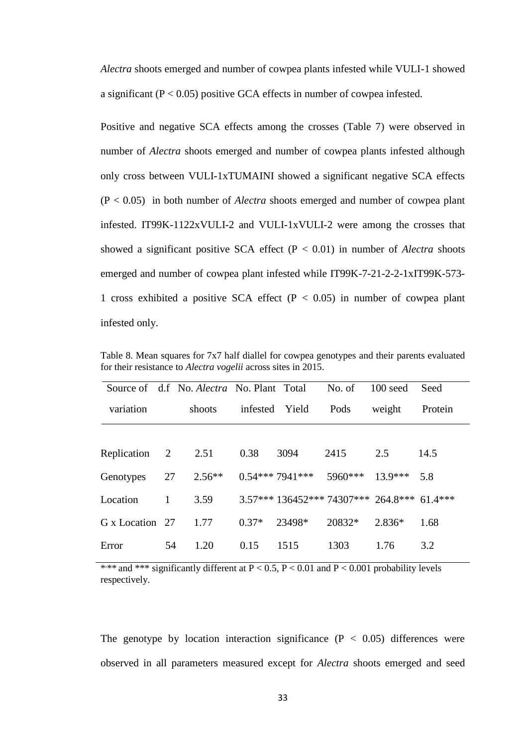*Alectra* shoots emerged and number of cowpea plants infested while VULI-1 showed a significant  $(P < 0.05)$  positive GCA effects in number of cowpea infested.

Positive and negative SCA effects among the crosses (Table 7) were observed in number of *Alectra* shoots emerged and number of cowpea plants infested although only cross between VULI-1xTUMAINI showed a significant negative SCA effects (P < 0.05) in both number of *Alectra* shoots emerged and number of cowpea plant infested. IT99K-1122xVULI-2 and VULI-1xVULI-2 were among the crosses that showed a significant positive SCA effect  $(P < 0.01)$  in number of *Alectra* shoots emerged and number of cowpea plant infested while IT99K-7-21-2-2-1xIT99K-573- 1 cross exhibited a positive SCA effect ( $P < 0.05$ ) in number of cowpea plant infested only.

|                 |              | Source of d.f No. Alectra No. Plant Total |          |                                             | No. of  | $100$ seed | Seed    |
|-----------------|--------------|-------------------------------------------|----------|---------------------------------------------|---------|------------|---------|
| variation       |              | shoots                                    | infested | Yield                                       | Pods    | weight     | Protein |
|                 |              |                                           |          |                                             |         |            |         |
| Replication 2   |              | 2.51                                      | 0.38     | 3094                                        | 2415    | 2.5        | 14.5    |
| Genotypes       | 27           | $2.56**$                                  |          | $0.54***7941***$                            | 5960*** | $13.9***$  | 5.8     |
| Location        | $\mathbf{1}$ | 3.59                                      |          | 3.57*** 136452*** 74307*** 264.8*** 61.4*** |         |            |         |
| G x Location 27 |              | 1.77                                      | $0.37*$  | 23498*                                      | 20832*  | $2.836*$   | 1.68    |
| Error           | 54           | 1.20                                      | 0.15     | 1515                                        | 1303    | 1.76       | 3.2     |

Table 8. Mean squares for 7x7 half diallel for cowpea genotypes and their parents evaluated for their resistance to *Alectra vogelii* across sites in 2015.

\*\*\* and \*\*\* significantly different at  $P < 0.5$ ,  $P < 0.01$  and  $P < 0.001$  probability levels respectively.

The genotype by location interaction significance  $(P < 0.05)$  differences were observed in all parameters measured except for *Alectra* shoots emerged and seed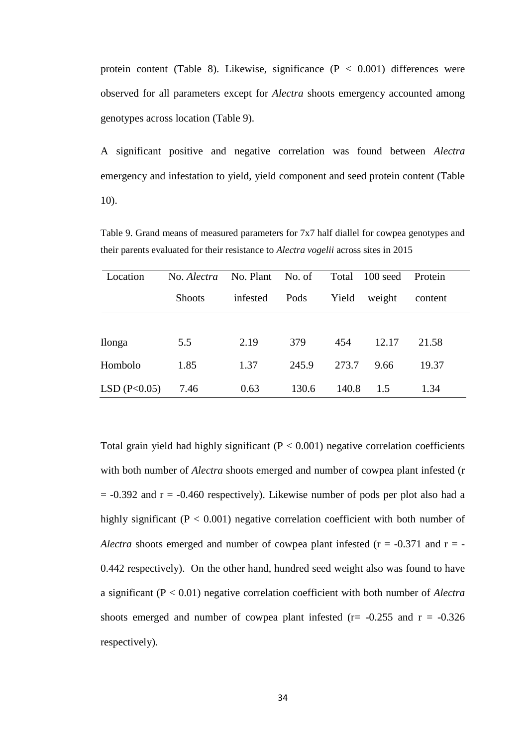protein content (Table 8). Likewise, significance  $(P < 0.001)$  differences were observed for all parameters except for *Alectra* shoots emergency accounted among genotypes across location (Table 9).

A significant positive and negative correlation was found between *Alectra* emergency and infestation to yield, yield component and seed protein content (Table 10).

Location No. *Alectra* No. Plant No. of Total 100 seed Protein Shoots infested Pods Yield weight content Ilonga 5.5 2.19 379 454 12.17 21.58 Hombolo 1.85 1.37 245.9 273.7 9.66 19.37 LSD (P<0.05) 7.46 0.63 130.6 140.8 1.5 1.34

Table 9. Grand means of measured parameters for 7x7 half diallel for cowpea genotypes and their parents evaluated for their resistance to *Alectra vogelii* across sites in 2015

Total grain yield had highly significant  $(P < 0.001)$  negative correlation coefficients with both number of *Alectra* shoots emerged and number of cowpea plant infested (r  $= -0.392$  and  $r = -0.460$  respectively). Likewise number of pods per plot also had a highly significant ( $P < 0.001$ ) negative correlation coefficient with both number of *Alectra* shoots emerged and number of cowpea plant infested ( $r = -0.371$  and  $r = -0.371$ 0.442 respectively). On the other hand, hundred seed weight also was found to have a significant (P < 0.01) negative correlation coefficient with both number of *Alectra* shoots emerged and number of cowpea plant infested ( $r = -0.255$  and  $r = -0.326$ ) respectively).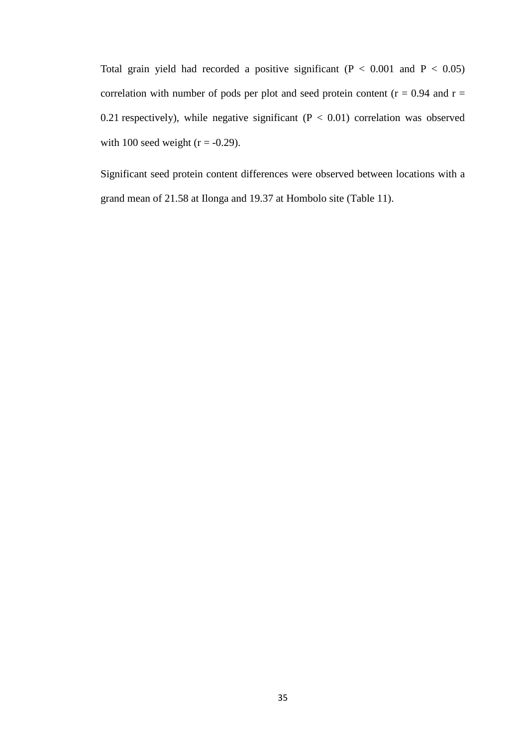Total grain yield had recorded a positive significant ( $P < 0.001$  and  $P < 0.05$ ) correlation with number of pods per plot and seed protein content ( $r = 0.94$  and  $r =$ 0.21 respectively), while negative significant  $(P < 0.01)$  correlation was observed with 100 seed weight ( $r = -0.29$ ).

Significant seed protein content differences were observed between locations with a grand mean of 21.58 at Ilonga and 19.37 at Hombolo site (Table 11).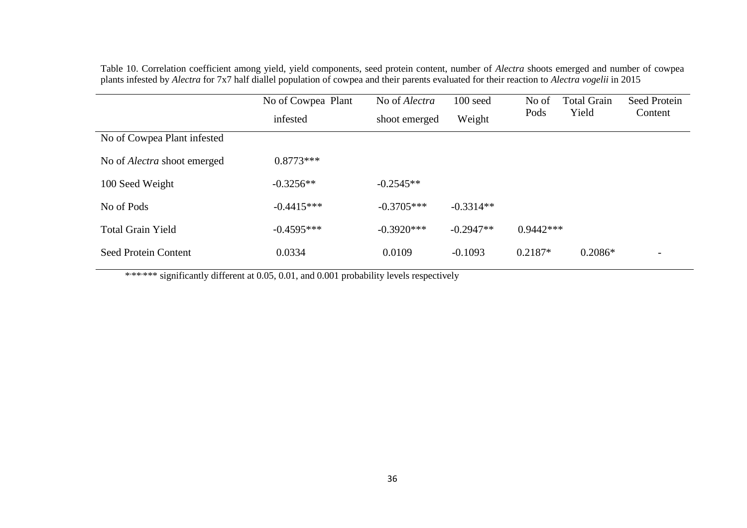Table 10. Correlation coefficient among yield, yield components, seed protein content, number of *Alectra* shoots emerged and number of cowpea plants infested by *Alectra* for 7x7 half diallel population of cowpea and their parents evaluated for their reaction to *Alectra vogelii* in 2015

|                                    | No of Cowpea Plant<br>infested | No of Alectra<br>shoot emerged | 100 seed<br>Weight | No of<br>Pods | <b>Total Grain</b><br>Yield | Seed Protein<br>Content |
|------------------------------------|--------------------------------|--------------------------------|--------------------|---------------|-----------------------------|-------------------------|
| No of Cowpea Plant infested        |                                |                                |                    |               |                             |                         |
| No of <i>Alectra</i> shoot emerged | $0.8773***$                    |                                |                    |               |                             |                         |
| 100 Seed Weight                    | $-0.3256**$                    | $-0.2545**$                    |                    |               |                             |                         |
| No of Pods                         | $-0.4415***$                   | $-0.3705***$                   | $-0.3314**$        |               |                             |                         |
| <b>Total Grain Yield</b>           | $-0.4595***$                   | $-0.3920***$                   | $-0.2947**$        | $0.9442***$   |                             |                         |
| <b>Seed Protein Content</b>        | 0.0334                         | 0.0109                         | $-0.1093$          | $0.2187*$     | $0.2086*$                   |                         |

\*\*\*\*\*\* significantly different at 0.05, 0.01, and 0.001 probability levels respectively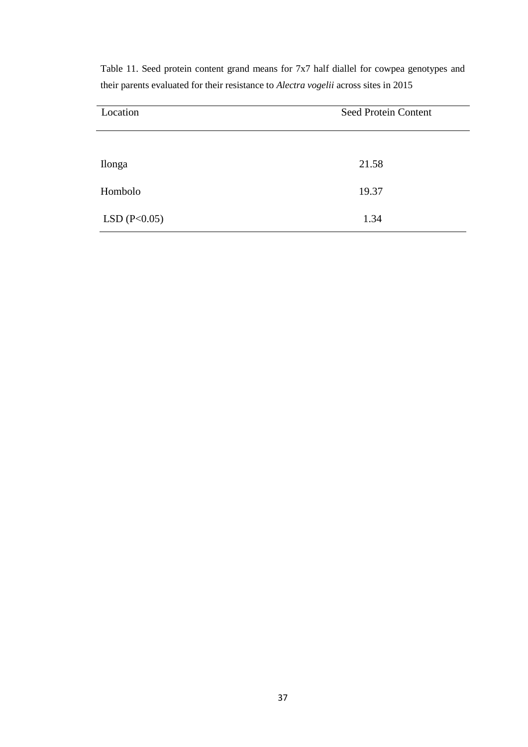| Location       | Seed Protein Content |
|----------------|----------------------|
|                |                      |
| Ilonga         | 21.58                |
| Hombolo        | 19.37                |
| LSD $(P<0.05)$ | 1.34                 |

Table 11. Seed protein content grand means for 7x7 half diallel for cowpea genotypes and their parents evaluated for their resistance to *Alectra vogelii* across sites in 2015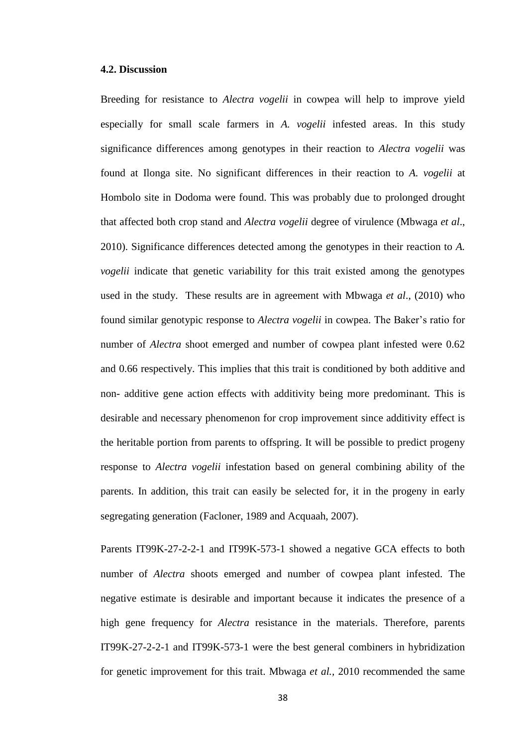### **4.2. Discussion**

Breeding for resistance to *Alectra vogelii* in cowpea will help to improve yield especially for small scale farmers in *A. vogelii* infested areas. In this study significance differences among genotypes in their reaction to *Alectra vogelii* was found at Ilonga site. No significant differences in their reaction to *A. vogelii* at Hombolo site in Dodoma were found. This was probably due to prolonged drought that affected both crop stand and *Alectra vogelii* degree of virulence (Mbwaga *et al*., 2010). Significance differences detected among the genotypes in their reaction to *A. vogelii* indicate that genetic variability for this trait existed among the genotypes used in the study. These results are in agreement with Mbwaga *et al*., (2010) who found similar genotypic response to *Alectra vogelii* in cowpea. The Baker's ratio for number of *Alectra* shoot emerged and number of cowpea plant infested were 0.62 and 0.66 respectively. This implies that this trait is conditioned by both additive and non- additive gene action effects with additivity being more predominant. This is desirable and necessary phenomenon for crop improvement since additivity effect is the heritable portion from parents to offspring. It will be possible to predict progeny response to *Alectra vogelii* infestation based on general combining ability of the parents. In addition, this trait can easily be selected for, it in the progeny in early segregating generation (Facloner, 1989 and Acquaah, 2007).

Parents IT99K-27-2-2-1 and IT99K-573-1 showed a negative GCA effects to both number of *Alectra* shoots emerged and number of cowpea plant infested. The negative estimate is desirable and important because it indicates the presence of a high gene frequency for *Alectra* resistance in the materials. Therefore, parents IT99K-27-2-2-1 and IT99K-573-1 were the best general combiners in hybridization for genetic improvement for this trait. Mbwaga *et al.,* 2010 recommended the same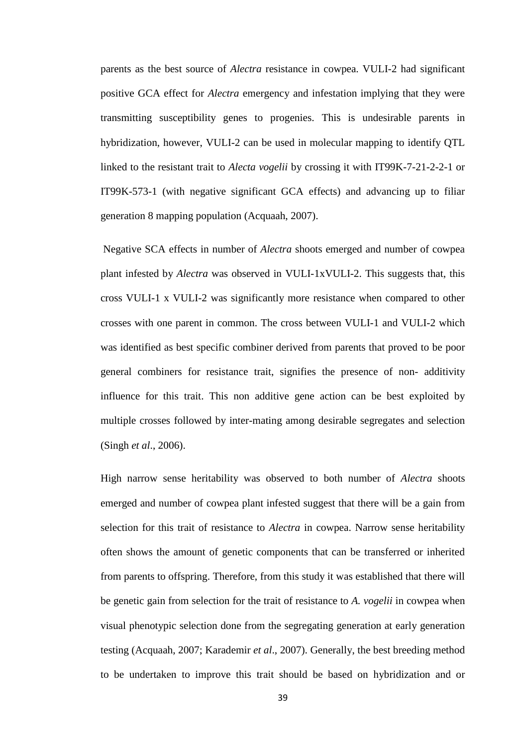parents as the best source of *Alectra* resistance in cowpea. VULI-2 had significant positive GCA effect for *Alectra* emergency and infestation implying that they were transmitting susceptibility genes to progenies. This is undesirable parents in hybridization, however, VULI-2 can be used in molecular mapping to identify QTL linked to the resistant trait to *Alecta vogelii* by crossing it with IT99K-7-21-2-2-1 or IT99K-573-1 (with negative significant GCA effects) and advancing up to filiar generation 8 mapping population (Acquaah, 2007).

Negative SCA effects in number of *Alectra* shoots emerged and number of cowpea plant infested by *Alectra* was observed in VULI-1xVULI-2. This suggests that, this cross VULI-1 x VULI-2 was significantly more resistance when compared to other crosses with one parent in common. The cross between VULI-1 and VULI-2 which was identified as best specific combiner derived from parents that proved to be poor general combiners for resistance trait, signifies the presence of non- additivity influence for this trait. This non additive gene action can be best exploited by multiple crosses followed by inter-mating among desirable segregates and selection (Singh *et al*., 2006).

High narrow sense heritability was observed to both number of *Alectra* shoots emerged and number of cowpea plant infested suggest that there will be a gain from selection for this trait of resistance to *Alectra* in cowpea. Narrow sense heritability often shows the amount of genetic components that can be transferred or inherited from parents to offspring. Therefore, from this study it was established that there will be genetic gain from selection for the trait of resistance to *A. vogelii* in cowpea when visual phenotypic selection done from the segregating generation at early generation testing (Acquaah, 2007; Karademir *et al*., 2007). Generally, the best breeding method to be undertaken to improve this trait should be based on hybridization and or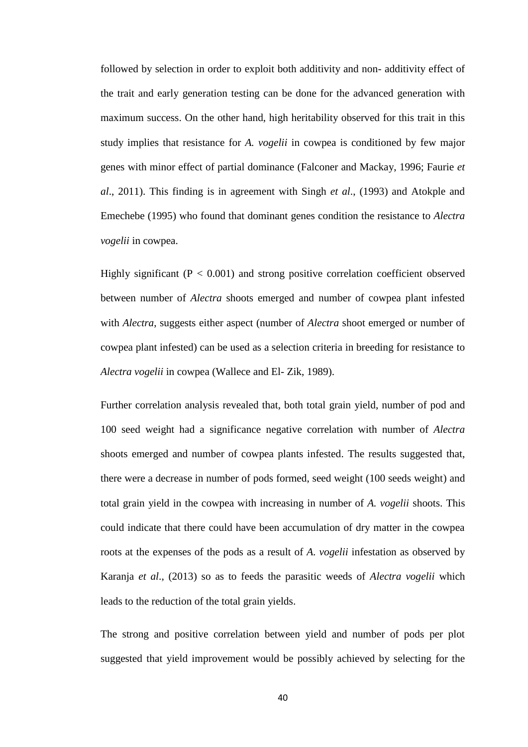followed by selection in order to exploit both additivity and non- additivity effect of the trait and early generation testing can be done for the advanced generation with maximum success. On the other hand, high heritability observed for this trait in this study implies that resistance for *A. vogelii* in cowpea is conditioned by few major genes with minor effect of partial dominance (Falconer and Mackay, 1996; Faurie *et al*., 2011). This finding is in agreement with Singh *et al*., (1993) and Atokple and Emechebe (1995) who found that dominant genes condition the resistance to *Alectra vogelii* in cowpea.

Highly significant  $(P < 0.001)$  and strong positive correlation coefficient observed between number of *Alectra* shoots emerged and number of cowpea plant infested with *Alectra*, suggests either aspect (number of *Alectra* shoot emerged or number of cowpea plant infested) can be used as a selection criteria in breeding for resistance to *Alectra vogelii* in cowpea (Wallece and El- Zik, 1989).

Further correlation analysis revealed that, both total grain yield, number of pod and 100 seed weight had a significance negative correlation with number of *Alectra* shoots emerged and number of cowpea plants infested. The results suggested that, there were a decrease in number of pods formed, seed weight (100 seeds weight) and total grain yield in the cowpea with increasing in number of *A. vogelii* shoots. This could indicate that there could have been accumulation of dry matter in the cowpea roots at the expenses of the pods as a result of *A. vogelii* infestation as observed by Karanja *et al*., (2013) so as to feeds the parasitic weeds of *Alectra vogelii* which leads to the reduction of the total grain yields.

The strong and positive correlation between yield and number of pods per plot suggested that yield improvement would be possibly achieved by selecting for the

40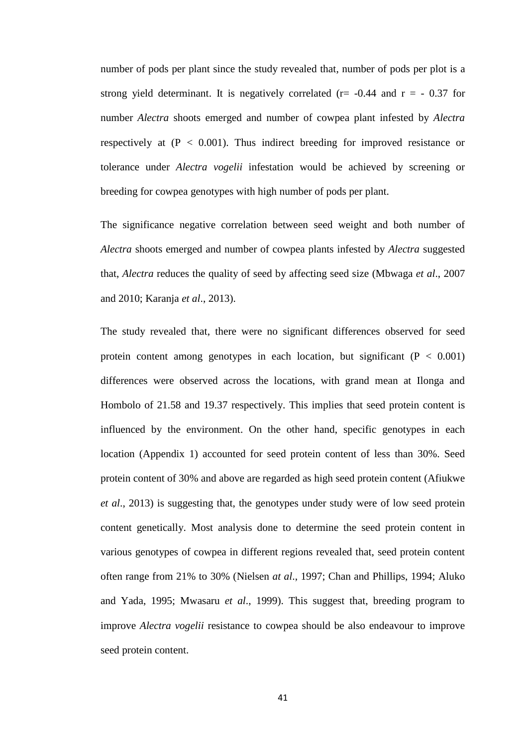number of pods per plant since the study revealed that, number of pods per plot is a strong yield determinant. It is negatively correlated ( $r = -0.44$  and  $r = -0.37$  for number *Alectra* shoots emerged and number of cowpea plant infested by *Alectra* respectively at  $(P < 0.001)$ . Thus indirect breeding for improved resistance or tolerance under *Alectra vogelii* infestation would be achieved by screening or breeding for cowpea genotypes with high number of pods per plant.

The significance negative correlation between seed weight and both number of *Alectra* shoots emerged and number of cowpea plants infested by *Alectra* suggested that, *Alectra* reduces the quality of seed by affecting seed size (Mbwaga *et al*., 2007 and 2010; Karanja *et al*., 2013).

The study revealed that, there were no significant differences observed for seed protein content among genotypes in each location, but significant  $(P < 0.001)$ differences were observed across the locations, with grand mean at Ilonga and Hombolo of 21.58 and 19.37 respectively. This implies that seed protein content is influenced by the environment. On the other hand, specific genotypes in each location (Appendix 1) accounted for seed protein content of less than 30%. Seed protein content of 30% and above are regarded as high seed protein content (Afiukwe *et al*., 2013) is suggesting that, the genotypes under study were of low seed protein content genetically. Most analysis done to determine the seed protein content in various genotypes of cowpea in different regions revealed that, seed protein content often range from 21% to 30% (Nielsen *at al*., 1997; Chan and Phillips, 1994; Aluko and Yada, 1995; Mwasaru *et al*., 1999). This suggest that, breeding program to improve *Alectra vogelii* resistance to cowpea should be also endeavour to improve seed protein content.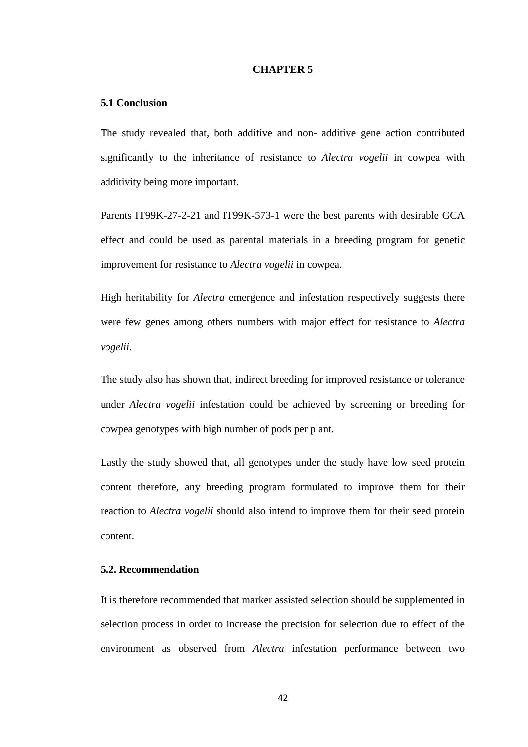#### **CHAPTER 5**

## **5.1 Conclusion**

The study revealed that, both additive and non- additive gene action contributed significantly to the inheritance of resistance to *Alectra vogelii* in cowpea with additivity being more important.

Parents IT99K-27-2-21 and IT99K-573-1 were the best parents with desirable GCA effect and could be used as parental materials in a breeding program for genetic improvement for resistance to *Alectra vogelii* in cowpea.

High heritability for *Alectra* emergence and infestation respectively suggests there were few genes among others numbers with major effect for resistance to *Alectra vogelii*.

The study also has shown that, indirect breeding for improved resistance or tolerance under *Alectra vogelii* infestation could be achieved by screening or breeding for cowpea genotypes with high number of pods per plant.

Lastly the study showed that, all genotypes under the study have low seed protein content therefore, any breeding program formulated to improve them for their reaction to *Alectra vogelii* should also intend to improve them for their seed protein content.

# **5.2. Recommendation**

It is therefore recommended that marker assisted selection should be supplemented in selection process in order to increase the precision for selection due to effect of the environment as observed from *Alectra* infestation performance between two

42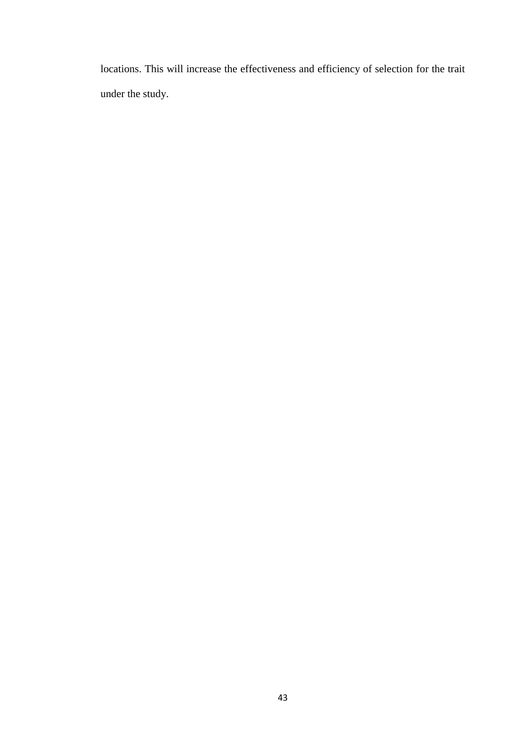locations. This will increase the effectiveness and efficiency of selection for the trait under the study.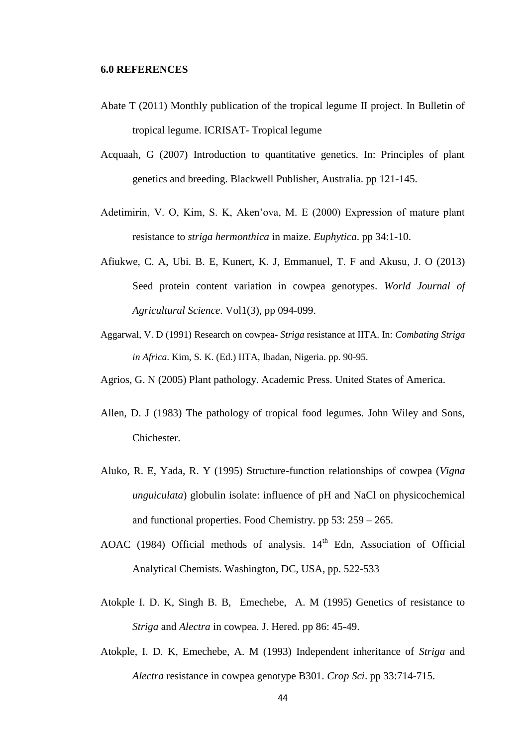- Abate T (2011) Monthly publication of the tropical legume II project. In Bulletin of tropical legume. ICRISAT- Tropical legume
- Acquaah, G (2007) Introduction to quantitative genetics. In: Principles of plant genetics and breeding. Blackwell Publisher, Australia. pp 121-145.
- Adetimirin, V. O, Kim, S. K, Aken'ova, M. E (2000) Expression of mature plant resistance to *striga hermonthica* in maize. *Euphytica*. pp 34:1-10.
- Afiukwe, C. A, Ubi. B. E, Kunert, K. J, Emmanuel, T. F and Akusu, J. O (2013) Seed protein content variation in cowpea genotypes. *World Journal of Agricultural Science*. Vol1(3), pp 094-099.
- Aggarwal, V. D (1991) Research on cowpea- *Striga* resistance at IITA. In: *Combating Striga in Africa*. Kim, S. K. (Ed.) IITA, Ibadan, Nigeria. pp. 90-95.
- Agrios, G. N (2005) Plant pathology. Academic Press. United States of America.
- Allen, D. J (1983) The pathology of tropical food legumes. John Wiley and Sons, Chichester.
- Aluko, R. E, Yada, R. Y (1995) Structure-function relationships of cowpea (*Vigna unguiculata*) globulin isolate: influence of pH and NaCl on physicochemical and functional properties. Food Chemistry. pp 53: 259 – 265.
- AOAC (1984) Official methods of analysis.  $14<sup>th</sup>$  Edn, Association of Official Analytical Chemists. Washington, DC, USA, pp. 522-533
- Atokple I. D. K, Singh B. B, Emechebe, A. M (1995) Genetics of resistance to *Striga* and *Alectra* in cowpea. J. Hered. pp 86: 45-49.
- Atokple, I. D. K, Emechebe, A. M (1993) Independent inheritance of *Striga* and *Alectra* resistance in cowpea genotype B301. *Crop Sci*. pp 33:714-715.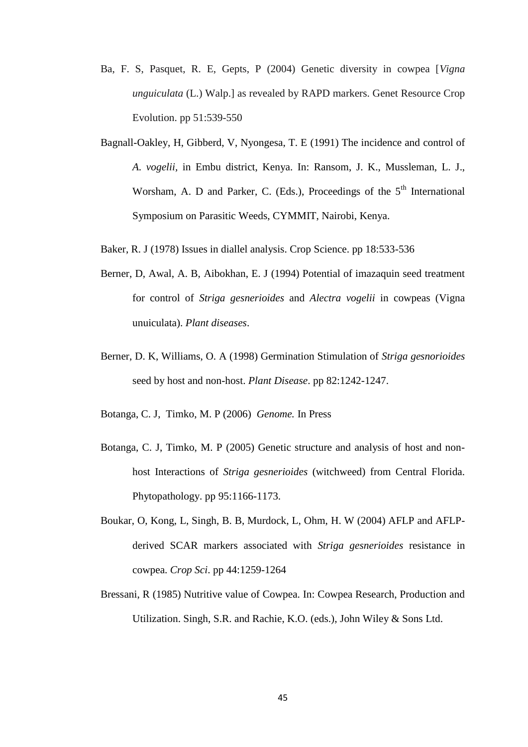- Ba, F. S, Pasquet, R. E, Gepts, P (2004) Genetic diversity in cowpea [*Vigna unguiculata* (L.) Walp.] as revealed by RAPD markers. Genet Resource Crop Evolution. pp 51:539-550
- Bagnall-Oakley, H, Gibberd, V, Nyongesa, T. E (1991) The incidence and control of *A. vogelii,* in Embu district, Kenya. In: Ransom, J. K., Mussleman, L. J., Worsham, A. D and Parker, C. (Eds.), Proceedings of the 5<sup>th</sup> International Symposium on Parasitic Weeds, CYMMIT, Nairobi, Kenya.
- Baker, R. J (1978) Issues in diallel analysis. Crop Science. pp 18:533-536
- Berner, D, Awal, A. B, Aibokhan, E. J (1994) Potential of imazaquin seed treatment for control of *Striga gesnerioides* and *Alectra vogelii* in cowpeas (Vigna unuiculata). *Plant diseases*.
- Berner, D. K, Williams, O. A (1998) Germination Stimulation of *Striga gesnorioides* seed by host and non-host. *Plant Disease*. pp 82:1242-1247.
- Botanga, C. J, Timko, M. P (2006) *Genome.* In Press
- Botanga, C. J, Timko, M. P (2005) Genetic structure and analysis of host and nonhost Interactions of *Striga gesnerioides* (witchweed) from Central Florida. Phytopathology. pp 95:1166-1173.
- Boukar, O, Kong, L, Singh, B. B, Murdock, L, Ohm, H. W (2004) AFLP and AFLPderived SCAR markers associated with *Striga gesnerioides* resistance in cowpea. *Crop Sci*. pp 44:1259-1264
- Bressani, R (1985) Nutritive value of Cowpea. In: Cowpea Research, Production and Utilization. Singh, S.R. and Rachie, K.O. (eds.), John Wiley & Sons Ltd.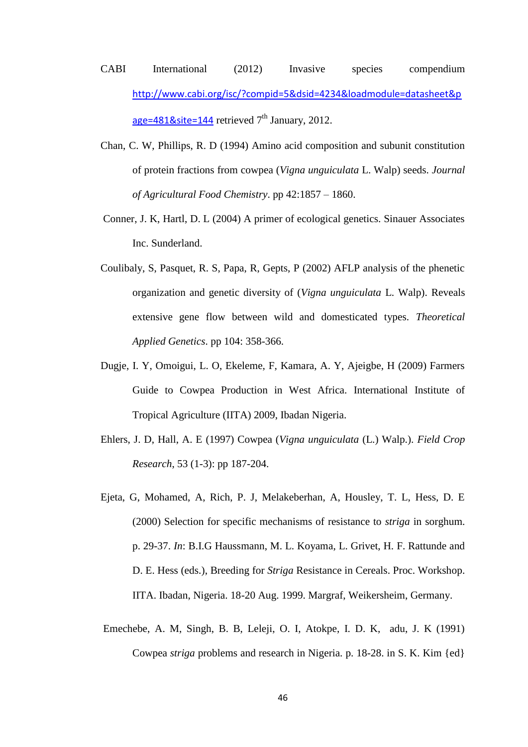- CABI International (2012) Invasive species compendium [http://www.cabi.org/isc/?compid=5&dsid=4234&loadmodule=datasheet&p](http://www.cabi.org/isc/?compid=5&dsid=4234&loadmodule=datasheet&page=481&site=144) [age=481&site=144](http://www.cabi.org/isc/?compid=5&dsid=4234&loadmodule=datasheet&page=481&site=144) retrieved  $7<sup>th</sup>$  January, 2012.
- Chan, C. W, Phillips, R. D (1994) Amino acid composition and subunit constitution of protein fractions from cowpea (*Vigna unguiculata* L. Walp) seeds. *Journal of Agricultural Food Chemistry*. pp 42:1857 – 1860.
- Conner, J. K, Hartl, D. L (2004) A primer of ecological genetics. Sinauer Associates Inc. Sunderland.
- Coulibaly, S, Pasquet, R. S, Papa, R, Gepts, P (2002) AFLP analysis of the phenetic organization and genetic diversity of (*Vigna unguiculata* L. Walp). Reveals extensive gene flow between wild and domesticated types. *Theoretical Applied Genetics*. pp 104: 358-366.
- Dugje, I. Y, Omoigui, L. O, Ekeleme, F, Kamara, A. Y, Ajeigbe, H (2009) Farmers Guide to Cowpea Production in West Africa. International Institute of Tropical Agriculture (IITA) 2009, Ibadan Nigeria.
- Ehlers, J. D, Hall, A. E (1997) Cowpea (*Vigna unguiculata* (L.) Walp.). *Field Crop Research*, 53 (1-3): pp 187-204.
- Ejeta, G, Mohamed, A, Rich, P. J, Melakeberhan, A, Housley, T. L, Hess, D. E (2000) Selection for specific mechanisms of resistance to *striga* in sorghum. p. 29-37. *In*: B.I.G Haussmann, M. L. Koyama, L. Grivet, H. F. Rattunde and D. E. Hess (eds.), Breeding for *Striga* Resistance in Cereals. Proc. Workshop. IITA. Ibadan, Nigeria. 18-20 Aug. 1999. Margraf, Weikersheim, Germany.
- Emechebe, A. M, Singh, B. B, Leleji, O. I, Atokpe, I. D. K, adu, J. K (1991) Cowpea *striga* problems and research in Nigeria. p. 18-28. in S. K. Kim {ed}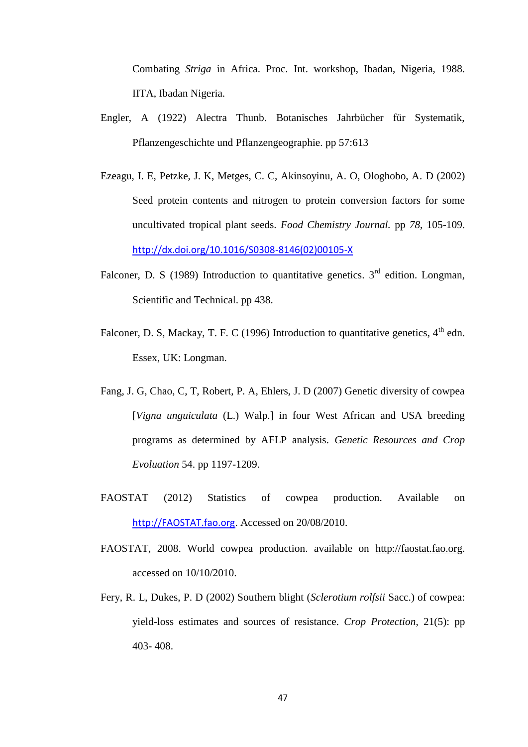Combating *Striga* in Africa. Proc. Int. workshop, Ibadan, Nigeria, 1988. IITA, Ibadan Nigeria.

- Engler, A (1922) Alectra Thunb. Botanisches Jahrbücher für Systematik, Pflanzengeschichte und Pflanzengeographie. pp 57:613
- Ezeagu, I. E, Petzke, J. K, Metges, C. C, Akinsoyinu, A. O, Ologhobo, A. D (2002) Seed protein contents and nitrogen to protein conversion factors for some uncultivated tropical plant seeds. *Food Chemistry Journal.* pp *78*, 105-109. [http://dx.doi.org/10.1016/S0308-8146\(02\)00105-X](http://dx.doi.org/10.1016/S0308-8146(02)00105-X)
- Falconer, D. S (1989) Introduction to quantitative genetics.  $3<sup>rd</sup>$  edition. Longman, Scientific and Technical. pp 438.
- Falconer, D. S, Mackay, T. F. C (1996) Introduction to quantitative genetics,  $4<sup>th</sup>$  edn. Essex, UK: Longman.
- Fang, J. G, Chao, C, T, Robert, P. A, Ehlers, J. D (2007) Genetic diversity of cowpea [*Vigna unguiculata* (L.) Walp.] in four West African and USA breeding programs as determined by AFLP analysis. *Genetic Resources and Crop Evoluation* 54. pp 1197-1209.
- FAOSTAT (2012) Statistics of cowpea production. Available on [http://FAOSTAT.fao.org](http://faostat.fao.org/). Accessed on 20/08/2010.
- FAOSTAT, 2008. World cowpea production. available on [http://faostat.fao.org.](http://faostat.fao.org/) accessed on 10/10/2010.
- Fery, R. L, Dukes, P. D (2002) Southern blight (*Sclerotium rolfsii* Sacc.) of cowpea: yield-loss estimates and sources of resistance. *Crop Protection*, 21(5): pp 403- 408.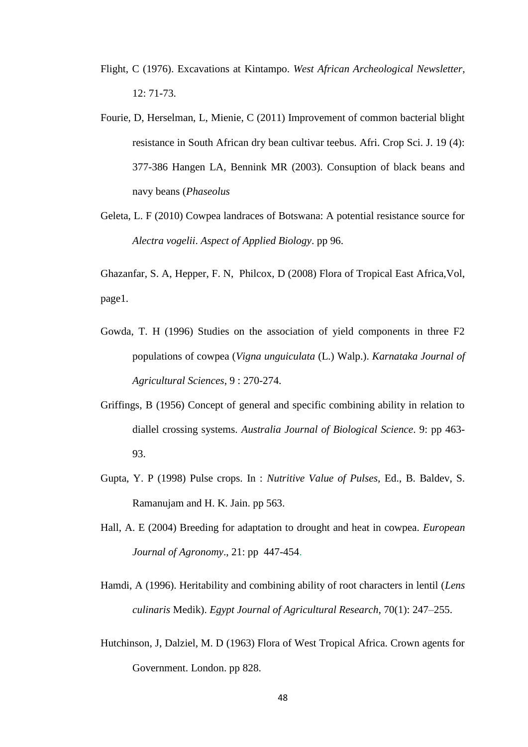- Flight, C (1976). Excavations at Kintampo. *West African Archeological Newsletter*, 12: 71-73.
- Fourie, D, Herselman, L, Mienie, C (2011) Improvement of common bacterial blight resistance in South African dry bean cultivar teebus. Afri. Crop Sci. J. 19 (4): 377-386 Hangen LA, Bennink MR (2003). Consuption of black beans and navy beans (*Phaseolus*
- Geleta, L. F (2010) Cowpea landraces of Botswana: A potential resistance source for *Alectra vogelii*. *Aspect of Applied Biology*. pp 96.

Ghazanfar, S. A, Hepper, F. N, Philcox, D [\(2008\)](http://plants.jstor.org/search?Date_fld=2008) Flora of Tropical East Africa,Vol, page1.

- Gowda, T. H (1996) Studies on the association of yield components in three F2 populations of cowpea (*Vigna unguiculata* (L.) Walp.). *Karnataka Journal of Agricultural Sciences*, 9 : 270-274.
- Griffings, B (1956) Concept of general and specific combining ability in relation to diallel crossing systems. *Australia Journal of Biological Science*. 9: pp 463- 93.
- Gupta, Y. P (1998) Pulse crops. In : *Nutritive Value of Pulses,* Ed., B. Baldev, S. Ramanujam and H. K. Jain. pp 563.
- Hall, A. E (2004) Breeding for adaptation to drought and heat in cowpea. *European Journal of Agronomy*., 21: pp 447-454.
- Hamdi, A (1996). Heritability and combining ability of root characters in lentil (*Lens culinaris* Medik). *Egypt Journal of Agricultural Research*, 70(1): 247–255.
- Hutchinson, J, Dalziel, M. D (1963) Flora of West Tropical Africa. Crown agents for Government. London. pp 828.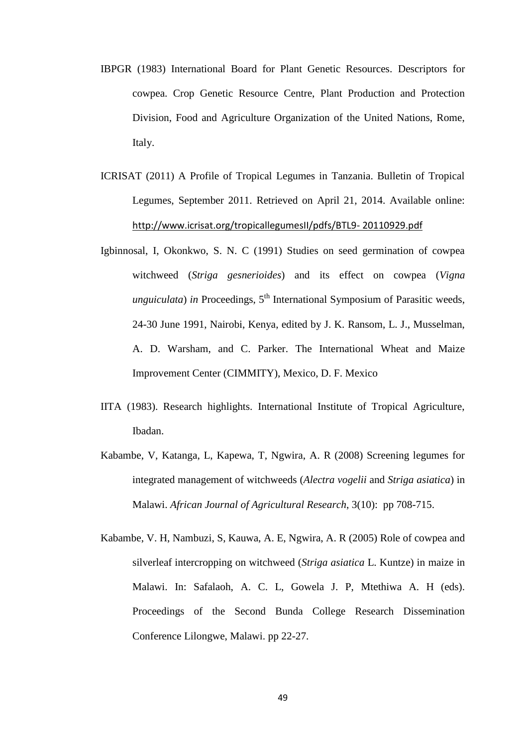- IBPGR (1983) International Board for Plant Genetic Resources. Descriptors for cowpea. Crop Genetic Resource Centre, Plant Production and Protection Division, Food and Agriculture Organization of the United Nations, Rome, Italy.
- ICRISAT (2011) A Profile of Tropical Legumes in Tanzania. Bulletin of Tropical Legumes, September 2011. Retrieved on April 21, 2014. Available online: [http://www.icrisat.org/tropicallegumesII/pdfs/BTL9-](http://www.icrisat.org/tropicallegumesII/pdfs/BTL9-%2020110929.pdf) 20110929.pdf
- Igbinnosal, I, Okonkwo, S. N. C (1991) Studies on seed germination of cowpea witchweed (*Striga gesnerioides*) and its effect on cowpea (*Vigna unguiculata*) *in* Proceedings,  $5<sup>th</sup>$  International Symposium of Parasitic weeds, 24-30 June 1991, Nairobi, Kenya, edited by J. K. Ransom, L. J., Musselman, A. D. Warsham, and C. Parker. The International Wheat and Maize Improvement Center (CIMMITY), Mexico, D. F. Mexico
- IITA (1983). Research highlights. International Institute of Tropical Agriculture, Ibadan.
- Kabambe, V, Katanga, L, Kapewa, T, Ngwira, A. R (2008) Screening legumes for integrated management of witchweeds (*Alectra vogelii* and *Striga asiatica*) in Malawi. *African Journal of Agricultural Research*, 3(10): pp 708-715.
- Kabambe, V. H, Nambuzi, S, Kauwa, A. E, Ngwira, A. R (2005) Role of cowpea and silverleaf intercropping on witchweed (*Striga asiatica* L. Kuntze) in maize in Malawi. In: Safalaoh, A. C. L, Gowela J. P, Mtethiwa A. H (eds). Proceedings of the Second Bunda College Research Dissemination Conference Lilongwe, Malawi. pp 22-27.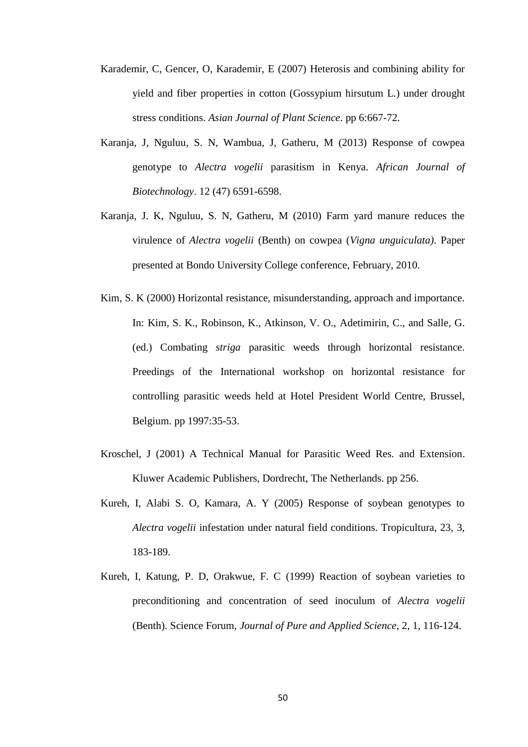- Karademir, C, Gencer, O, Karademir, E (2007) Heterosis and combining ability for yield and fiber properties in cotton (Gossypium hirsutum L.) under drought stress conditions. *Asian Journal of Plant Science*. pp 6:667-72.
- Karanja, J, Nguluu, S. N, Wambua, J, Gatheru, M (2013) Response of cowpea genotype to *Alectra vogelii* parasitism in Kenya. *African Journal of Biotechnology*. 12 (47) 6591-6598.
- Karanja, J. K, Nguluu, S. N, Gatheru, M (2010) Farm yard manure reduces the virulence of *Alectra vogelii* (Benth) on cowpea (*Vigna unguiculata)*. Paper presented at Bondo University College conference, February, 2010.
- Kim, S. K (2000) Horizontal resistance, misunderstanding, approach and importance. In: Kim, S. K., Robinson, K., Atkinson, V. O., Adetimirin, C., and Salle, G. (ed.) Combating *striga* parasitic weeds through horizontal resistance. Preedings of the International workshop on horizontal resistance for controlling parasitic weeds held at Hotel President World Centre, Brussel, Belgium. pp 1997:35-53.
- Kroschel, J (2001) A Technical Manual for Parasitic Weed Res. and Extension. Kluwer Academic Publishers, Dordrecht, The Netherlands. pp 256.
- Kureh, I, Alabi S. O, Kamara, A. Y (2005) Response of soybean genotypes to *Alectra vogelii* infestation under natural field conditions. Tropicultura, 23, 3, 183-189.
- Kureh, I, Katung, P. D, Orakwue, F. C (1999) Reaction of soybean varieties to preconditioning and concentration of seed inoculum of *Alectra vogelii*  (Benth). Science Forum, *Journal of Pure and Applied Science*, 2, 1, 116-124.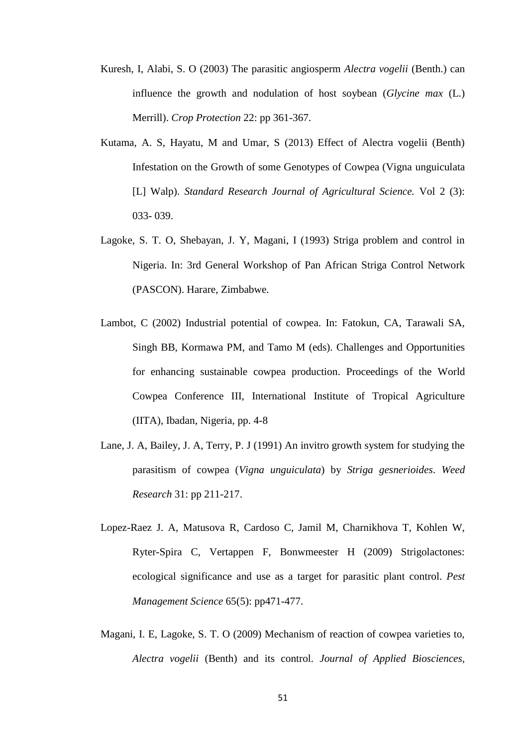- Kuresh, I, Alabi, S. O (2003) The parasitic angiosperm *Alectra vogelii* (Benth.) can influence the growth and nodulation of host soybean (*Glycine max* (L.) Merrill). *Crop Protection* 22: pp 361-367.
- Kutama, A. S, Hayatu, M and Umar, S (2013) Effect of Alectra vogelii (Benth) Infestation on the Growth of some Genotypes of Cowpea (Vigna unguiculata [L] Walp). *Standard Research Journal of Agricultural Science.* Vol 2 (3): 033- 039.
- Lagoke, S. T. O, Shebayan, J. Y, Magani, I (1993) Striga problem and control in Nigeria. In: 3rd General Workshop of Pan African Striga Control Network (PASCON). Harare, Zimbabwe.
- Lambot, C (2002) Industrial potential of cowpea. In: Fatokun, CA, Tarawali SA, Singh BB, Kormawa PM, and Tamo M (eds). Challenges and Opportunities for enhancing sustainable cowpea production. Proceedings of the World Cowpea Conference III, International Institute of Tropical Agriculture (IITA), Ibadan, Nigeria, pp. 4-8
- Lane, J. A, Bailey, J. A, Terry, P. J (1991) An invitro growth system for studying the parasitism of cowpea (*Vigna unguiculata*) by *Striga gesnerioides*. *Weed Research* 31: pp 211-217.
- Lopez-Raez J. A, Matusova R, Cardoso C, Jamil M, Charnikhova T, Kohlen W, Ryter-Spira C, Vertappen F, Bonwmeester H (2009) Strigolactones: ecological significance and use as a target for parasitic plant control. *Pest Management Science* 65(5): pp471-477.
- Magani, I. E, Lagoke, S. T. O (2009) Mechanism of reaction of cowpea varieties to, *Alectra vogelii* (Benth) and its control. *Journal of Applied Biosciences,*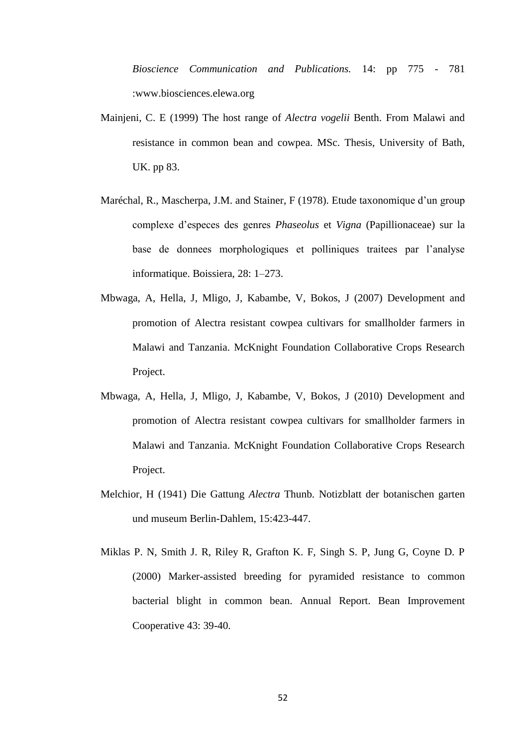*Bioscience Communication and Publications.* 14: pp 775 - 781 :www.biosciences.elewa.org

- Mainjeni, C. E (1999) The host range of *Alectra vogelii* Benth. From Malawi and resistance in common bean and cowpea. MSc. Thesis, University of Bath, UK. pp 83.
- Maréchal, R., Mascherpa, J.M. and Stainer, F (1978). Etude taxonomique d'un group complexe d'especes des genres *Phaseolus* et *Vigna* (Papillionaceae) sur la base de donnees morphologiques et polliniques traitees par l'analyse informatique. Boissiera, 28: 1–273.
- Mbwaga, A, Hella, J, Mligo, J, Kabambe, V, Bokos, J (2007) Development and promotion of Alectra resistant cowpea cultivars for smallholder farmers in Malawi and Tanzania. McKnight Foundation Collaborative Crops Research Project.
- Mbwaga, A, Hella, J, Mligo, J, Kabambe, V, Bokos, J (2010) Development and promotion of Alectra resistant cowpea cultivars for smallholder farmers in Malawi and Tanzania. McKnight Foundation Collaborative Crops Research Project.
- Melchior, H (1941) Die Gattung *Alectra* Thunb. Notizblatt der botanischen garten und museum Berlin-Dahlem, 15:423-447.
- Miklas P. N, Smith J. R, Riley R, Grafton K. F, Singh S. P, Jung G, Coyne D. P (2000) Marker-assisted breeding for pyramided resistance to common bacterial blight in common bean. Annual Report. Bean Improvement Cooperative 43: 39-40.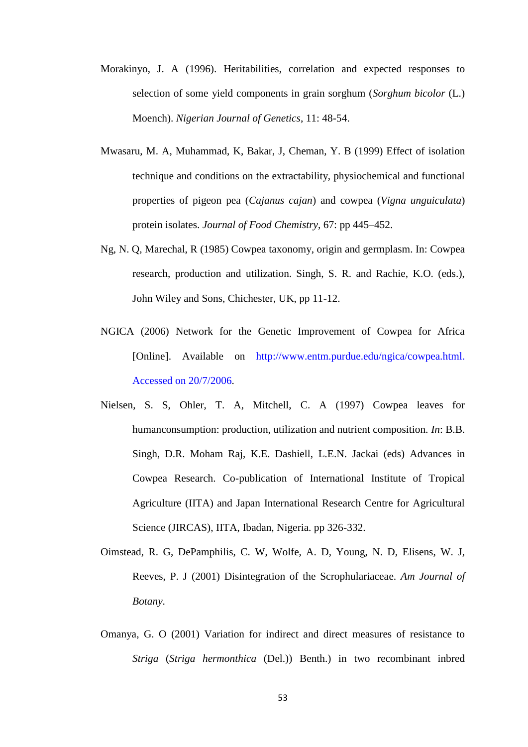- Morakinyo, J. A (1996). Heritabilities, correlation and expected responses to selection of some yield components in grain sorghum (*Sorghum bicolor* (L.) Moench). *Nigerian Journal of Genetics*, 11: 48-54.
- Mwasaru, M. A, Muhammad, K, Bakar, J, Cheman, Y. B (1999) Effect of isolation technique and conditions on the extractability, physiochemical and functional properties of pigeon pea (*Cajanus cajan*) and cowpea (*Vigna unguiculata*) protein isolates. *Journal of Food Chemistry*, 67: pp 445–452.
- Ng, N. Q, Marechal, R (1985) Cowpea taxonomy, origin and germplasm. In: Cowpea research, production and utilization. Singh, S. R. and Rachie, K.O. (eds.), John Wiley and Sons, Chichester, UK, pp 11-12.
- NGICA (2006) Network for the Genetic Improvement of Cowpea for Africa [Online]. Available on http://www.entm.purdue.edu/ngica/cowpea.html. Accessed on 20/7/2006.
- Nielsen, S. S, Ohler, T. A, Mitchell, C. A (1997) Cowpea leaves for humanconsumption: production, utilization and nutrient composition. *In*: B.B. Singh, D.R. Moham Raj, K.E. Dashiell, L.E.N. Jackai (eds) Advances in Cowpea Research. Co-publication of International Institute of Tropical Agriculture (IITA) and Japan International Research Centre for Agricultural Science (JIRCAS), IITA, Ibadan, Nigeria. pp 326-332.
- Oimstead, R. G, DePamphilis, C. W, Wolfe, A. D, Young, N. D, Elisens, W. J, Reeves, P. J (2001) Disintegration of the Scrophulariaceae. *Am Journal of Botany*.
- Omanya, G. O (2001) Variation for indirect and direct measures of resistance to *Striga* (*Striga hermonthica* (Del.)) Benth.) in two recombinant inbred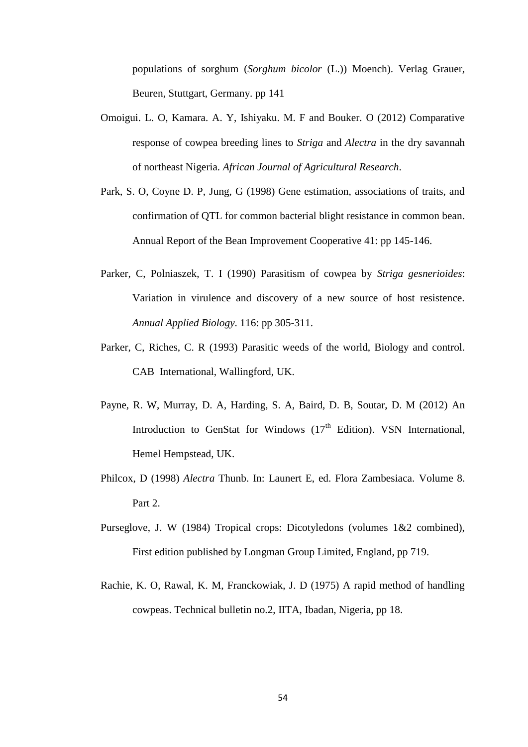populations of sorghum (*Sorghum bicolor* (L.)) Moench). Verlag Grauer, Beuren, Stuttgart, Germany. pp 141

- Omoigui. L. O, Kamara. A. Y, Ishiyaku. M. F and Bouker. O (2012) Comparative response of cowpea breeding lines to *Striga* and *Alectra* in the dry savannah of northeast Nigeria. *African Journal of Agricultural Research*.
- Park, S. O, Coyne D. P, Jung, G (1998) Gene estimation, associations of traits, and confirmation of QTL for common bacterial blight resistance in common bean. Annual Report of the Bean Improvement Cooperative 41: pp 145-146.
- Parker, C, Polniaszek, T. I (1990) Parasitism of cowpea by *Striga gesnerioides*: Variation in virulence and discovery of a new source of host resistence. *Annual Applied Biology*. 116: pp 305-311.
- Parker, C, Riches, C. R (1993) Parasitic weeds of the world, Biology and control. CAB International, Wallingford, UK.
- Payne, R. W, Murray, D. A, Harding, S. A, Baird, D. B, Soutar, D. M (2012) An Introduction to GenStat for Windows  $(17<sup>th</sup> Edition)$ . VSN International, Hemel Hempstead, UK.
- Philcox, D (1998) *Alectra* Thunb. In: Launert E, ed. Flora Zambesiaca. Volume 8. Part 2.
- Purseglove, J. W (1984) Tropical crops: Dicotyledons (volumes 1&2 combined), First edition published by Longman Group Limited, England, pp 719.
- Rachie, K. O, Rawal, K. M, Franckowiak, J. D (1975) A rapid method of handling cowpeas. Technical bulletin no.2, IITA, Ibadan, Nigeria, pp 18.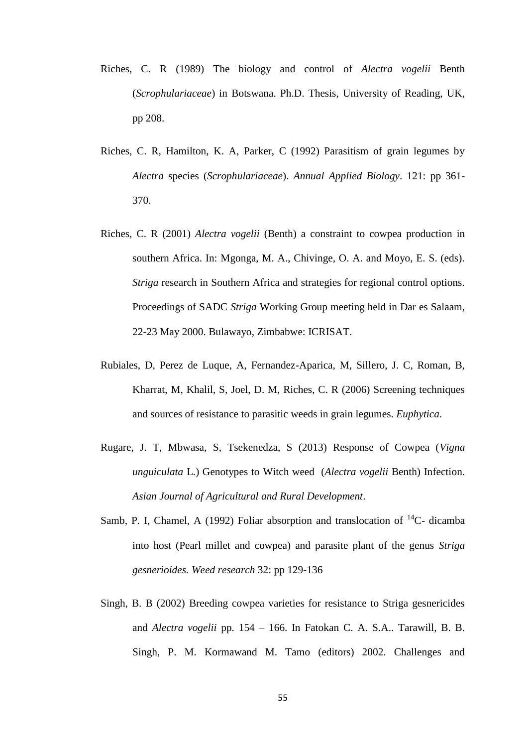- Riches, C. R (1989) The biology and control of *Alectra vogelii* Benth (*Scrophulariaceae*) in Botswana. Ph.D. Thesis, University of Reading, UK, pp 208.
- Riches, C. R, Hamilton, K. A, Parker, C (1992) Parasitism of grain legumes by *Alectra* species (*Scrophulariaceae*). *Annual Applied Biology*. 121: pp 361- 370.
- Riches, C. R (2001) *Alectra vogelii* (Benth) a constraint to cowpea production in southern Africa. In: Mgonga, M. A., Chivinge, O. A. and Moyo, E. S. (eds). *Striga* research in Southern Africa and strategies for regional control options. Proceedings of SADC *Striga* Working Group meeting held in Dar es Salaam, 22-23 May 2000. Bulawayo, Zimbabwe: ICRISAT.
- Rubiales, D, Perez de Luque, A, Fernandez-Aparica, M, Sillero, J. C, Roman, B, Kharrat, M, Khalil, S, Joel, D. M, Riches, C. R (2006) Screening techniques and sources of resistance to parasitic weeds in grain legumes. *Euphytica*.
- Rugare, J. T, Mbwasa, S, Tsekenedza, S (2013) Response of Cowpea (*Vigna unguiculata* L.) Genotypes to Witch weed (*Alectra vogelii* Benth) Infection. *Asian Journal of Agricultural and Rural Development*.
- Samb, P. I, Chamel, A (1992) Foliar absorption and translocation of  ${}^{14}$ C- dicamba into host (Pearl millet and cowpea) and parasite plant of the genus *Striga gesnerioides. Weed research* 32: pp 129-136
- Singh, B. B (2002) Breeding cowpea varieties for resistance to Striga gesnericides and *Alectra vogelii* pp. 154 – 166. In Fatokan C. A. S.A.. Tarawill, B. B. Singh, P. M. Kormawand M. Tamo (editors) 2002. Challenges and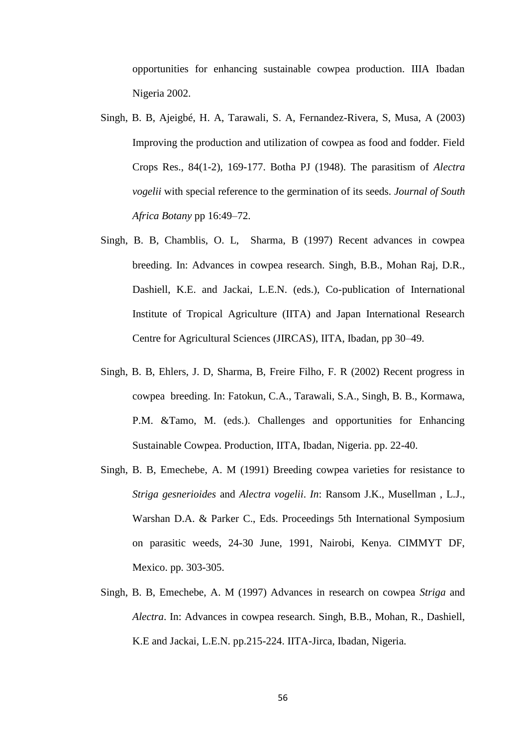opportunities for enhancing sustainable cowpea production. IIIA Ibadan Nigeria 2002.

- Singh, B. B, Ajeigbé, H. A, Tarawali, S. A, Fernandez-Rivera, S, Musa, A (2003) Improving the production and utilization of cowpea as food and fodder. Field Crops Res., 84(1-2), 169-177. Botha PJ (1948). The parasitism of *Alectra vogelii* with special reference to the germination of its seeds. *Journal of South Africa Botany* pp 16:49–72.
- Singh, B. B, Chamblis, O. L, Sharma, B (1997) Recent advances in cowpea breeding. In: Advances in cowpea research. Singh, B.B., Mohan Raj, D.R., Dashiell, K.E. and Jackai, L.E.N. (eds.), Co-publication of International Institute of Tropical Agriculture (IITA) and Japan International Research Centre for Agricultural Sciences (JIRCAS), IITA, Ibadan, pp 30–49.
- Singh, B. B, Ehlers, J. D, Sharma, B, Freire Filho, F. R (2002) Recent progress in cowpea breeding. In: Fatokun, C.A., Tarawali, S.A., Singh, B. B., Kormawa, P.M. &Tamo, M. (eds.). Challenges and opportunities for Enhancing Sustainable Cowpea. Production, IITA, Ibadan, Nigeria. pp. 22-40.
- Singh, B. B, Emechebe, A. M (1991) Breeding cowpea varieties for resistance to *Striga gesnerioides* and *Alectra vogelii*. *In*: Ransom J.K., Musellman , L.J., Warshan D.A. & Parker C., Eds. Proceedings 5th International Symposium on parasitic weeds, 24-30 June, 1991, Nairobi, Kenya. CIMMYT DF, Mexico. pp. 303-305.
- Singh, B. B, Emechebe, A. M (1997) Advances in research on cowpea *Striga* and *Alectra*. In: Advances in cowpea research. Singh, B.B., Mohan, R., Dashiell, K.E and Jackai, L.E.N. pp.215-224. IITA-Jirca, Ibadan, Nigeria.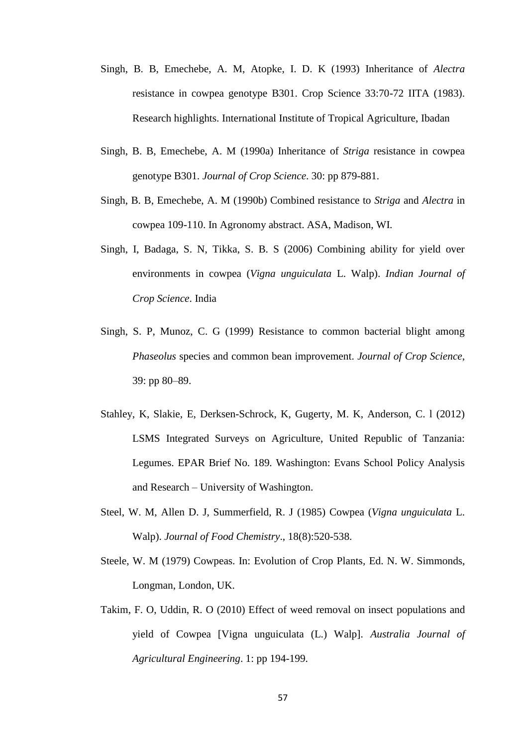- Singh, B. B, Emechebe, A. M, Atopke, I. D. K (1993) Inheritance of *Alectra* resistance in cowpea genotype B301. Crop Science 33:70-72 IITA (1983). Research highlights. International Institute of Tropical Agriculture, Ibadan
- Singh, B. B, Emechebe, A. M (1990a) Inheritance of *Striga* resistance in cowpea genotype B301. *Journal of Crop Science*. 30: pp 879-881.
- Singh, B. B, Emechebe, A. M (1990b) Combined resistance to *Striga* and *Alectra* in cowpea 109-110. In Agronomy abstract. ASA, Madison, WI.
- Singh, I, Badaga, S. N, Tikka, S. B. S (2006) Combining ability for yield over environments in cowpea (*Vigna unguiculata* L. Walp). *Indian Journal of Crop Science*. India
- Singh, S. P, Munoz, C. G (1999) Resistance to common bacterial blight among *Phaseolus* species and common bean improvement. *Journal of Crop Science*, 39: pp 80–89.
- Stahley, K, Slakie, E, Derksen-Schrock, K, Gugerty, M. K, Anderson, C. l (2012) LSMS Integrated Surveys on Agriculture, United Republic of Tanzania: Legumes. EPAR Brief No. 189*.* Washington: Evans School Policy Analysis and Research – University of Washington.
- Steel, W. M, Allen D. J, Summerfield, R. J (1985) Cowpea (*Vigna unguiculata* L. Walp). *Journal of Food Chemistry*., 18(8):520-538.
- Steele, W. M (1979) Cowpeas. In: Evolution of Crop Plants*,* Ed. N. W. Simmonds, Longman, London, UK.
- Takim, F. O, Uddin, R. O (2010) Effect of weed removal on insect populations and yield of Cowpea [Vigna unguiculata (L.) Walp]. *Australia Journal of Agricultural Engineering*. 1: pp 194-199.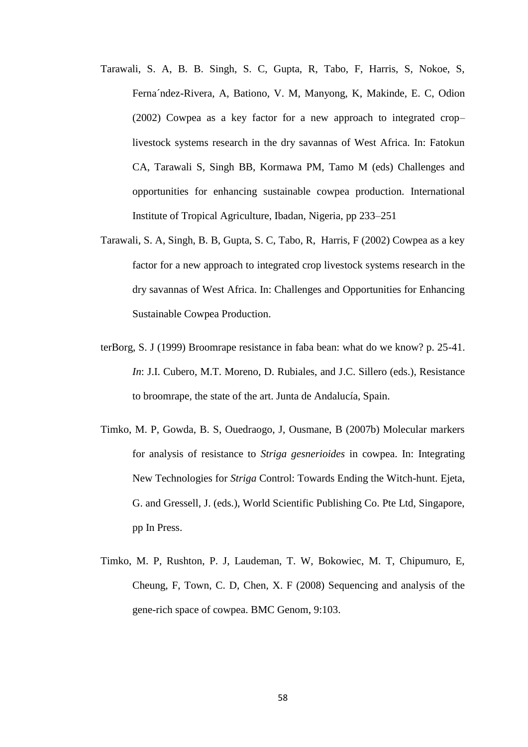- Tarawali, S. A, B. B. Singh, S. C, Gupta, R, Tabo, F, Harris, S, Nokoe, S, Ferna´ndez-Rivera, A, Bationo, V. M, Manyong, K, Makinde, E. C, Odion (2002) Cowpea as a key factor for a new approach to integrated crop– livestock systems research in the dry savannas of West Africa. In: Fatokun CA, Tarawali S, Singh BB, Kormawa PM, Tamo M (eds) Challenges and opportunities for enhancing sustainable cowpea production. International Institute of Tropical Agriculture, Ibadan, Nigeria, pp 233–251
- Tarawali, S. A, Singh, B. B, Gupta, S. C, Tabo, R, Harris, F (2002) Cowpea as a key factor for a new approach to integrated crop livestock systems research in the dry savannas of West Africa. In: Challenges and Opportunities for Enhancing Sustainable Cowpea Production.
- terBorg, S. J (1999) Broomrape resistance in faba bean: what do we know? p. 25-41. *In*: J.I. Cubero, M.T. Moreno, D. Rubiales, and J.C. Sillero (eds.), Resistance to broomrape, the state of the art. Junta de Andalucía, Spain.
- Timko, M. P, Gowda, B. S, Ouedraogo, J, Ousmane, B (2007b) Molecular markers for analysis of resistance to *Striga gesnerioides* in cowpea. In: Integrating New Technologies for *Striga* Control: Towards Ending the Witch-hunt. Ejeta, G. and Gressell, J. (eds.), World Scientific Publishing Co. Pte Ltd, Singapore, pp In Press.
- Timko, M. P, Rushton, P. J, Laudeman, T. W, Bokowiec, M. T, Chipumuro, E, Cheung, F, Town, C. D, Chen, X. F (2008) Sequencing and analysis of the gene-rich space of cowpea. BMC Genom, 9:103.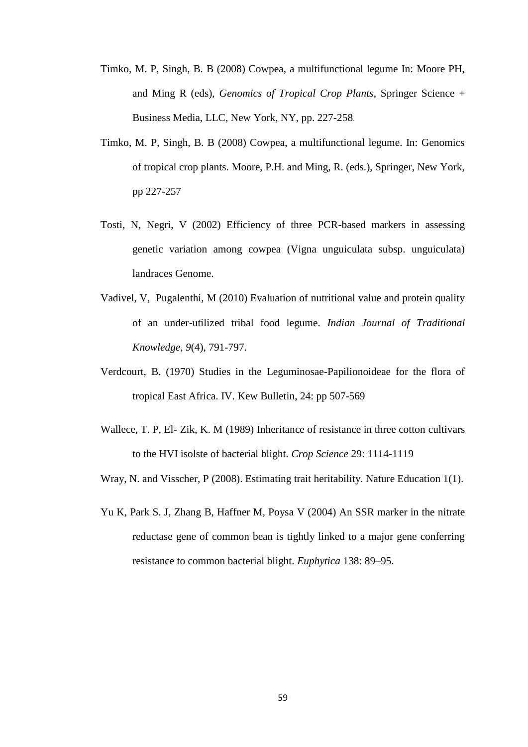- Timko, M. P, Singh, B. B (2008) Cowpea, a multifunctional legume In: Moore PH, and Ming R (eds), *Genomics of Tropical Crop Plants*, Springer Science + Business Media, LLC, New York, NY, pp. 227-258.
- Timko, M. P, Singh, B. B (2008) Cowpea, a multifunctional legume. In: Genomics of tropical crop plants. Moore, P.H. and Ming, R. (eds.), Springer, New York, pp 227-257
- Tosti, N, Negri, V (2002) Efficiency of three PCR-based markers in assessing genetic variation among cowpea (Vigna unguiculata subsp. unguiculata) landraces Genome.
- Vadivel, V, Pugalenthi, M (2010) Evaluation of nutritional value and protein quality of an under-utilized tribal food legume. *Indian Journal of Traditional Knowledge, 9*(4), 791-797.
- Verdcourt, B. (1970) Studies in the Leguminosae-Papilionoideae for the flora of tropical East Africa. IV. Kew Bulletin, 24: pp 507-569
- Wallece, T. P, El- Zik, K. M (1989) Inheritance of resistance in three cotton cultivars to the HVI isolste of bacterial blight. *Crop Science* 29: 1114-1119
- Wray, N. and Visscher, P (2008). Estimating trait heritability. Nature Education 1(1).
- Yu K, Park S. J, Zhang B, Haffner M, Poysa V (2004) An SSR marker in the nitrate reductase gene of common bean is tightly linked to a major gene conferring resistance to common bacterial blight. *Euphytica* 138: 89–95.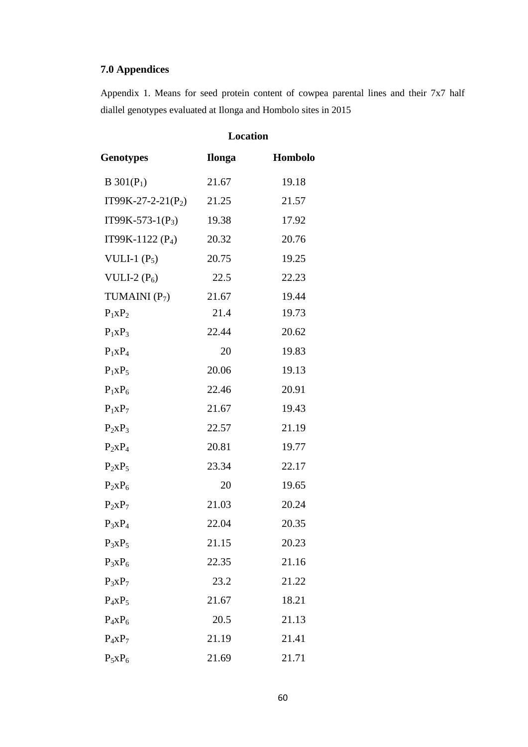## **7.0 Appendices**

Appendix 1. Means for seed protein content of cowpea parental lines and their 7x7 half diallel genotypes evaluated at Ilonga and Hombolo sites in 2015

|                      | <b>Location</b> |         |
|----------------------|-----------------|---------|
| Genotypes            | Ilonga          | Hombolo |
| $B\ 301(P_1)$        | 21.67           | 19.18   |
| $IT99K-27-2-21(P_2)$ | 21.25           | 21.57   |
| $IT99K-573-1(P_3)$   | 19.38           | 17.92   |
| IT99K-1122 $(P_4)$   | 20.32           | 20.76   |
| VULI-1 $(P_5)$       | 20.75           | 19.25   |
| VULI-2 $(P_6)$       | 22.5            | 22.23   |
| TUMAINI $(P_7)$      | 21.67           | 19.44   |
| $P_1XP_2$            | 21.4            | 19.73   |
| $P_1XP_3$            | 22.44           | 20.62   |
| $P_1XP_4$            | 20              | 19.83   |
| $P_1XP_5$            | 20.06           | 19.13   |
| $P_1xP_6$            | 22.46           | 20.91   |
| $P_1XP_7$            | 21.67           | 19.43   |
| $P_2XP_3$            | 22.57           | 21.19   |
| $P_2XP_4$            | 20.81           | 19.77   |
| $P_2XP_5$            | 23.34           | 22.17   |
| $P_2XP_6$            | 20              | 19.65   |
| $P_2XP_7$            | 21.03           | 20.24   |
| $P_3XP_4$            | 22.04           | 20.35   |
| $P_3XP_5$            | 21.15           | 20.23   |
| $P_3XP_6$            | 22.35           | 21.16   |
| $P_3XP_7$            | 23.2            | 21.22   |
| $P_4XP_5$            | 21.67           | 18.21   |
| $P_4XP_6$            | 20.5            | 21.13   |
| $P_4XP_7$            | 21.19           | 21.41   |
| $P_5xP_6$            | 21.69           | 21.71   |